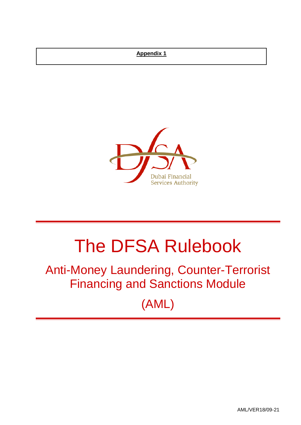## **Appendix 1**



# The DFSA Rulebook

## Anti-Money Laundering, Counter-Terrorist Financing and Sanctions Module

(AML)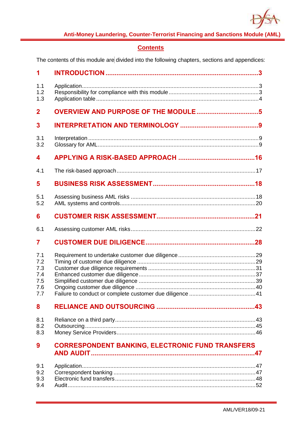

## **Contents**

The contents of this module are divided into the following chapters, sections and appendices:

| 1                                             |                                                         |  |
|-----------------------------------------------|---------------------------------------------------------|--|
| 1.1<br>1.2<br>1.3                             |                                                         |  |
| $\overline{2}$                                |                                                         |  |
| 3                                             |                                                         |  |
| 3.1<br>3.2                                    |                                                         |  |
| 4                                             |                                                         |  |
| 4.1                                           |                                                         |  |
| 5                                             |                                                         |  |
| 5.1<br>5.2                                    |                                                         |  |
| 6                                             |                                                         |  |
| 6.1                                           |                                                         |  |
| $\overline{7}$                                |                                                         |  |
| 7.1<br>7.2<br>7.3<br>7.4<br>7.5<br>7.6<br>7.7 |                                                         |  |
| 8                                             |                                                         |  |
| 8.1<br>8.2<br>8.3                             |                                                         |  |
| 9                                             | <b>CORRESPONDENT BANKING, ELECTRONIC FUND TRANSFERS</b> |  |
| 9.1<br>9.2<br>9.3<br>9.4                      |                                                         |  |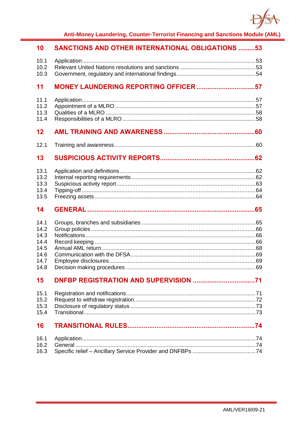

| 10                                                           | <b>SANCTIONS AND OTHER INTERNATIONAL OBLIGATIONS 53</b> |  |
|--------------------------------------------------------------|---------------------------------------------------------|--|
| 10.1<br>10.2<br>10.3                                         |                                                         |  |
| 11                                                           | MONEY LAUNDERING REPORTING OFFICER 57                   |  |
| 11.1<br>11.2<br>11.3<br>11.4                                 |                                                         |  |
| 12                                                           |                                                         |  |
| 12.1                                                         |                                                         |  |
| 13                                                           |                                                         |  |
| 13.1<br>13.2<br>13.3<br>13.4<br>13.5                         |                                                         |  |
| 14                                                           |                                                         |  |
| 14.1<br>14.2<br>14.3<br>14.4<br>14.5<br>14.6<br>14.7<br>14.8 |                                                         |  |
| 15                                                           |                                                         |  |
| 15.1<br>15.2<br>15.3<br>15.4                                 |                                                         |  |
| 16                                                           |                                                         |  |
| 16.1<br>16.2<br>16.3                                         |                                                         |  |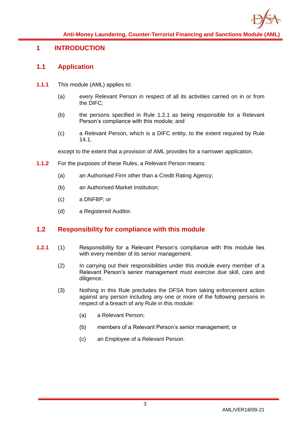

## <span id="page-3-1"></span><span id="page-3-0"></span>**1 INTRODUCTION**

## **1.1 Application**

- **1.1.1** This module (AML) applies to:
	- (a) every Relevant Person in respect of all its activities carried on in or from the DIFC;
	- (b) the persons specified in Rule 1.2.1 as being responsible for a Relevant Person's compliance with this module; and
	- (c) a Relevant Person, which is a DIFC entity, to the extent required by Rule 14.1.

except to the extent that a provision of AML provides for a narrower application.

- **1.1.2** For the purposes of these Rules, a Relevant Person means:
	- (a) an Authorised Firm other than a Credit Rating Agency;
	- (b) an Authorised Market Institution;
	- (c) a DNFBP; or
	- (d) a Registered Auditor.

## <span id="page-3-2"></span>**1.2 Responsibility for compliance with this module**

- **1.2.1** (1) Responsibility for a Relevant Person's compliance with this module lies with every member of its senior management.
	- (2) In carrying out their responsibilities under this module every member of a Relevant Person's senior management must exercise due skill, care and diligence.
	- (3) Nothing in this Rule precludes the DFSA from taking enforcement action against any person including any one or more of the following persons in respect of a breach of any Rule in this module:
		- (a) a Relevant Person;
		- (b) members of a Relevant Person's senior management; or
		- (c) an Employee of a Relevant Person.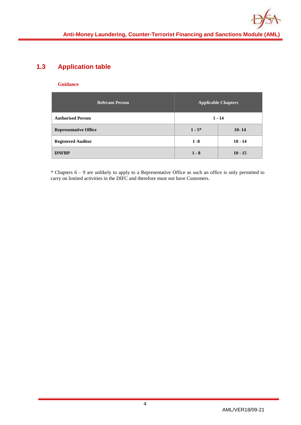## <span id="page-4-0"></span>**1.3 Application table**

#### **Guidance**

| <b>Relevant Person</b><br><b>Applicable Chapters</b> |           |           |  |  |
|------------------------------------------------------|-----------|-----------|--|--|
| <b>Authorised Person</b>                             | $1 - 14$  |           |  |  |
| <b>Representative Office</b>                         | $1 - 5^*$ | $10 - 14$ |  |  |
| <b>Registered Auditor</b>                            | $1 - 8$   | $10 - 14$ |  |  |
| <b>DNFBP</b>                                         | $1 - 8$   | $10 - 15$ |  |  |

\* Chapters 6 – 9 are unlikely to apply to a Representative Office as such an office is only permitted to carry on limited activities in the DIFC and therefore must not have Customers.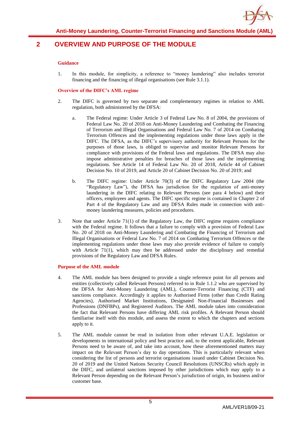

## <span id="page-5-0"></span>**2 OVERVIEW AND PURPOSE OF THE MODULE**

#### **Guidance**

1. In this module, for simplicity, a reference to "money laundering" also includes terrorist financing and the financing of illegal organisations (see Rule 3.1.1).

#### **Overview of the DIFC's AML regime**

- 2. The DIFC is governed by two separate and complementary regimes in relation to AML regulation, both administered by the DFSA:
	- a. The Federal regime: Under Article 3 of Federal Law No. 8 of 2004, the provisions of Federal Law No. 20 of 2018 on Anti-Money Laundering and Combating the Financing of Terrorism and Illegal Organisations and Federal Law No. 7 of 2014 on Combating Terrorism Offences and the implementing regulations under those laws apply in the DIFC. The DFSA, as the DIFC's supervisory authority for Relevant Persons for the purposes of those laws, is obliged to supervise and monitor Relevant Persons for compliance with provisions of the Federal laws and regulations. The DFSA may also impose administrative penalties for breaches of those laws and the implementing regulations. See Article 14 of Federal Law No. 20 of 2018, Article 44 of Cabinet Decision No. 10 of 2019, and Article 20 of Cabinet Decision No. 20 of 2019; and
	- b. The DIFC regime: Under Article 70(3) of the DIFC Regulatory Law 2004 (the "Regulatory Law"), the DFSA has jurisdiction for the regulation of anti-money laundering in the DIFC relating to Relevant Persons (see para 4 below) and their officers, employees and agents. The DIFC specific regime is contained in Chapter 2 of Part 4 of the Regulatory Law and any DFSA Rules made in connection with antimoney laundering measures, policies and procedures.
- 3. Note that under Article 71(1) of the Regulatory Law, the DIFC regime requires compliance with the Federal regime. It follows that a failure to comply with a provision of Federal Law No. 20 of 2018 on Anti-Money Laundering and Combating the Financing of Terrorism and Illegal Organisations or Federal Law No. 7 of 2014 on Combating Terrorism Offences or the implementing regulations under those laws may also provide evidence of failure to comply with Article 71(1), which may then be addressed under the disciplinary and remedial provisions of the Regulatory Law and DFSA Rules.

#### **Purpose of the AML module**

- 4. The AML module has been designed to provide a single reference point for all persons and entities (collectively called Relevant Persons) referred to in Rule 1.1.2 who are supervised by the DFSA for Anti-Money Laundering (AML), Counter-Terrorist Financing (CTF) and sanctions compliance. Accordingly it applies to Authorised Firms (other than Credit Rating Agencies), Authorised Market Institutions, Designated Non-Financial Businesses and Professions (DNFBPs), and Registered Auditors. The AML module takes into consideration the fact that Relevant Persons have differing AML risk profiles. A Relevant Person should familiarise itself with this module, and assess the extent to which the chapters and sections apply to it.
- 5. The AML module cannot be read in isolation from other relevant U.A.E. legislation or developments in international policy and best practice and, to the extent applicable, Relevant Persons need to be aware of, and take into account, how these aforementioned matters may impact on the Relevant Person's day to day operations. This is particularly relevant when considering the list of persons and terrorist organisations issued under Cabinet Decision No. 20 of 2019 and the United Nations Security Council Resolutions (UNSCRs) which apply in the DIFC, and unilateral sanctions imposed by other jurisdictions which may apply to a Relevant Person depending on the Relevant Person's jurisdiction of origin, its business and/or customer base.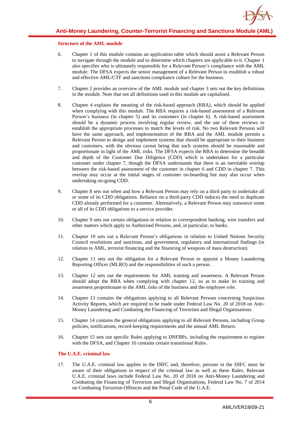#### **Structure of the AML module**

- 6. Chapter 1 of this module contains an application table which should assist a Relevant Person to navigate through the module and to determine which chapters are applicable to it. Chapter 1 also specifies who is ultimately responsible for a Relevant Person's compliance with the AML module. The DFSA expects the senior management of a Relevant Person to establish a robust and effective AML/CTF and sanctions compliance culture for the business.
- 7. Chapter 2 provides an overview of the AML module and chapter 3 sets out the key definitions in the module. Note that not all definitions used in this module are capitalised.
- 8. Chapter 4 explains the meaning of the risk-based approach (RBA), which should be applied when complying with this module. The RBA requires a risk-based assessment of a Relevant Person's business (in chapter 5) and its customers (in chapter 6). A risk-based assessment should be a dynamic process involving regular review, and the use of these reviews to establish the appropriate processes to match the levels of risk. No two Relevant Persons will have the same approach, and implementation of the RBA and the AML module permits a Relevant Person to design and implement systems that should be appropriate to their business and customers, with the obvious caveat being that such systems should be reasonable and proportionate in light of the AML risks. The DFSA expects the RBA to determine the breadth and depth of the Customer Due Diligence (CDD) which is undertaken for a particular customer under chapter 7, though the DFSA understands that there is an inevitable overlap between the risk-based assessment of the customer in chapter 6 and CDD in chapter 7. This overlap may occur at the initial stages of customer on-boarding but may also occur when undertaking on-going CDD.
- 9. Chapter 8 sets out when and how a Relevant Person may rely on a third party to undertake all or some of its CDD obligations. Reliance on a third-party CDD reduces the need to duplicate CDD already performed for a customer. Alternatively, a Relevant Person may outsource some or all of its CDD obligations to a service provider.
- 10. Chapter 9 sets out certain obligations in relation to correspondent banking, wire transfers and other matters which apply to Authorised Persons, and, in particular, to banks.
- 11. Chapter 10 sets out a Relevant Person's obligations in relation to United Nations Security Council resolutions and sanctions, and government, regulatory and international findings (in relation to AML, terrorist financing and the financing of weapons of mass destruction).
- 12. Chapter 11 sets out the obligation for a Relevant Person to appoint a Money Laundering Reporting Officer (MLRO) and the responsibilities of such a person.
- 13. Chapter 12 sets out the requirements for AML training and awareness. A Relevant Person should adopt the RBA when complying with chapter 12, so as to make its training and awareness proportionate to the AML risks of the business and the employee role.
- 14. Chapter 13 contains the obligations applying to all Relevant Persons concerning Suspicious Activity Reports, which are required to be made under Federal Law No. 20 of 2018 on Anti-Money Laundering and Combating the Financing of Terrorism and Illegal Organisations.
- 15. Chapter 14 contains the general obligations applying to all Relevant Persons, including Group policies, notifications, record-keeping requirements and the annual AML Return.
- 16. Chapter 15 sets out specific Rules applying to DNFBPs, including the requirement to register with the DFSA, and Chapter 16 contains certain transitional Rules.

#### **The U.A.E. criminal law**

17. The U.A.E. criminal law applies in the DIFC and, therefore, persons in the DIFC must be aware of their obligations in respect of the criminal law as well as these Rules. Relevant U.A.E. criminal laws include Federal Law No. 20 of 2018 on Anti-Money Laundering and Combating the Financing of Terrorism and Illegal Organisations, Federal Law No. 7 of 2014 on Combating Terrorism Offences and the Penal Code of the U.A.E.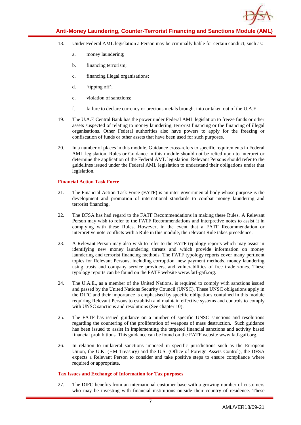

- 18. Under Federal AML legislation a Person may be criminally liable for certain conduct, such as:
	- a. money laundering;
	- b. financing terrorism;
	- c. financing illegal organisations;
	- d. 'tipping off';
	- e. violation of sanctions;
	- f. failure to declare currency or precious metals brought into or taken out of the U.A.E.
- 19. The U.A.E Central Bank has the power under Federal AML legislation to freeze funds or other assets suspected of relating to money laundering, terrorist financing or the financing of illegal organisations. Other Federal authorities also have powers to apply for the freezing or confiscation of funds or other assets that have been used for such purposes.
- 20. In a number of places in this module, Guidance cross-refers to specific requirements in Federal AML legislation. Rules or Guidance in this module should not be relied upon to interpret or determine the application of the Federal AML legislation. Relevant Persons should refer to the guidelines issued under the Federal AML legislation to understand their obligations under that legislation.

#### **Financial Action Task Force**

- 21. The Financial Action Task Force (FATF) is an inter-governmental body whose purpose is the development and promotion of international standards to combat money laundering and terrorist financing.
- 22. The DFSA has had regard to the FATF Recommendations in making these Rules. A Relevant Person may wish to refer to the FATF Recommendations and interpretive notes to assist it in complying with these Rules. However, in the event that a FATF Recommendation or interpretive note conflicts with a Rule in this module, the relevant Rule takes precedence.
- 23. A Relevant Person may also wish to refer to the FATF typology reports which may assist in identifying new money laundering threats and which provide information on money laundering and terrorist financing methods. The FATF typology reports cover many pertinent topics for Relevant Persons, including corruption, new payment methods, money laundering using trusts and company service providers, and vulnerabilities of free trade zones. These typology reports can be found on the FATF website www.fatf-gafi.org.
- 24. The U.A.E., as a member of the United Nations, is required to comply with sanctions issued and passed by the United Nations Security Council (UNSC). These UNSC obligations apply in the DIFC and their importance is emphasised by specific obligations contained in this module requiring Relevant Persons to establish and maintain effective systems and controls to comply with UNSC sanctions and resolutions (See chapter 10).
- 25. The FATF has issued guidance on a number of specific UNSC sanctions and resolutions regarding the countering of the proliferation of weapons of mass destruction. Such guidance has been issued to assist in implementing the targeted financial sanctions and activity based financial prohibitions. This guidance can be found on the FATF website www.fatf-gafi.org.
- 26. In relation to unilateral sanctions imposed in specific jurisdictions such as the European Union, the U.K. (HM Treasury) and the U.S. (Office of Foreign Assets Control), the DFSA expects a Relevant Person to consider and take positive steps to ensure compliance where required or appropriate.

#### **Tax Issues and Exchange of Information for Tax purposes**

27. The DIFC benefits from an international customer base with a growing number of customers who may be investing with financial institutions outside their country of residence. These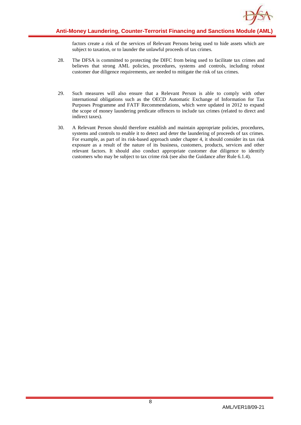

factors create a risk of the services of Relevant Persons being used to hide assets which are subject to taxation, or to launder the unlawful proceeds of tax crimes.

- 28. The DFSA is committed to protecting the DIFC from being used to facilitate tax crimes and believes that strong AML policies, procedures, systems and controls, including robust customer due diligence requirements, are needed to mitigate the risk of tax crimes.
- 29. Such measures will also ensure that a Relevant Person is able to comply with other international obligations such as the OECD Automatic Exchange of Information for Tax Purposes Programme and FATF Recommendations, which were updated in 2012 to expand the scope of money laundering predicate offences to include tax crimes (related to direct and indirect taxes).
- 30. A Relevant Person should therefore establish and maintain appropriate policies, procedures, systems and controls to enable it to detect and deter the laundering of proceeds of tax crimes. For example, as part of its risk-based approach under chapter 4, it should consider its tax risk exposure as a result of the nature of its business, customers, products, services and other relevant factors. It should also conduct appropriate customer due diligence to identify customers who may be subject to tax crime risk (see also the Guidance after Rule 6.1.4).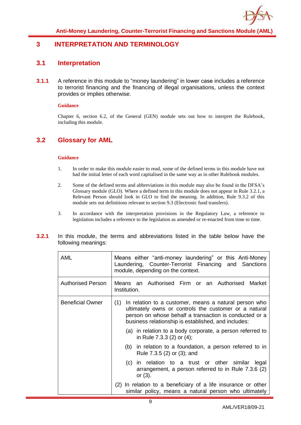

## <span id="page-9-1"></span><span id="page-9-0"></span>**3 INTERPRETATION AND TERMINOLOGY**

### **3.1 Interpretation**

**3.1.1** A reference in this module to "money laundering" in lower case includes a reference to terrorist financing and the financing of illegal organisations, unless the context provides or implies otherwise.

#### **Guidance**

Chapter 6, section 6.2, of the General (GEN) module sets out how to interpret the Rulebook, including this module.

## <span id="page-9-2"></span>**3.2 Glossary for AML**

#### **Guidance**

- 1. In order to make this module easier to read, some of the defined terms in this module have not had the initial letter of each word capitalised in the same way as in other Rulebook modules.
- 2. Some of the defined terms and abbreviations in this module may also be found in the DFSA's Glossary module (GLO). Where a defined term in this module does not appear in Rule 3.2.1, a Relevant Person should look in GLO to find the meaning. In addition, Rule 9.3.2 of this module sets out definitions relevant to section 9.3 (Electronic fund transfers).
- 3. In accordance with the interpretation provisions in the Regulatory Law, a reference to legislation includes a reference to the legislation as amended or re-enacted from time to time.

| 3.2.1 |                     |  | In this module, the terms and abbreviations listed in the table below have the |  |  |  |  |
|-------|---------------------|--|--------------------------------------------------------------------------------|--|--|--|--|
|       | following meanings: |  |                                                                                |  |  |  |  |

| AML                      | Means either "anti-money laundering" or this Anti-Money<br>Laundering, Counter-Terrorist Financing and Sanctions<br>module, depending on the context.                                                                                  |  |  |  |  |
|--------------------------|----------------------------------------------------------------------------------------------------------------------------------------------------------------------------------------------------------------------------------------|--|--|--|--|
| <b>Authorised Person</b> | Means an Authorised Firm or an Authorised Market<br>Institution.                                                                                                                                                                       |  |  |  |  |
| <b>Beneficial Owner</b>  | In relation to a customer, means a natural person who<br>(1)<br>ultimately owns or controls the customer or a natural<br>person on whose behalf a transaction is conducted or a<br>business relationship is established, and includes: |  |  |  |  |
|                          | (a) in relation to a body corporate, a person referred to<br>in Rule 7.3.3 (2) or (4);                                                                                                                                                 |  |  |  |  |
|                          | (b) in relation to a foundation, a person referred to in<br>Rule 7.3.5 (2) or (3); and                                                                                                                                                 |  |  |  |  |
|                          | (c) in relation to a trust or other similar legal<br>arrangement, a person referred to in Rule 7.3.6 (2)<br>or $(3)$ .                                                                                                                 |  |  |  |  |
|                          | (2) In relation to a beneficiary of a life insurance or other<br>similar policy, means a natural person who ultimately                                                                                                                 |  |  |  |  |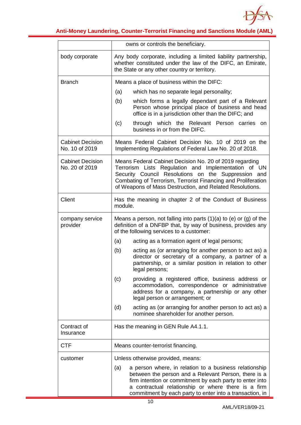

|                                           | owns or controls the beneficiary.                                                                                                                                                                                                                                                                    |
|-------------------------------------------|------------------------------------------------------------------------------------------------------------------------------------------------------------------------------------------------------------------------------------------------------------------------------------------------------|
| body corporate                            | Any body corporate, including a limited liability partnership,<br>whether constituted under the law of the DIFC, an Emirate,<br>the State or any other country or territory.                                                                                                                         |
| <b>Branch</b>                             | Means a place of business within the DIFC:                                                                                                                                                                                                                                                           |
|                                           | which has no separate legal personality;<br>(a)                                                                                                                                                                                                                                                      |
|                                           | (b)<br>which forms a legally dependant part of a Relevant<br>Person whose principal place of business and head<br>office is in a jurisdiction other than the DIFC; and                                                                                                                               |
|                                           | through which the Relevant Person carries<br>(c)<br>on.<br>business in or from the DIFC.                                                                                                                                                                                                             |
| <b>Cabinet Decision</b><br>No. 10 of 2019 | Means Federal Cabinet Decision No. 10 of 2019 on the<br>Implementing Regulations of Federal Law No. 20 of 2018.                                                                                                                                                                                      |
| <b>Cabinet Decision</b><br>No. 20 of 2019 | Means Federal Cabinet Decision No. 20 of 2019 regarding<br>Terrorism Lists Regulation and Implementation of UN<br>Security Council Resolutions on the Suppression and<br>Combating of Terrorism, Terrorist Financing and Proliferation<br>of Weapons of Mass Destruction, and Related Resolutions.   |
| Client                                    | Has the meaning in chapter 2 of the Conduct of Business<br>module.                                                                                                                                                                                                                                   |
| company service<br>provider               | Means a person, not falling into parts $(1)(a)$ to $(e)$ or $(g)$ of the<br>definition of a DNFBP that, by way of business, provides any<br>of the following services to a customer:                                                                                                                 |
|                                           | (a)<br>acting as a formation agent of legal persons;                                                                                                                                                                                                                                                 |
|                                           | (b)<br>acting as (or arranging for another person to act as) a<br>director or secretary of a company, a partner of a<br>partnership, or a similar position in relation to other<br>legal persons;                                                                                                    |
|                                           | providing a registered office, business address or<br>(c)<br>accommodation, correspondence or administrative<br>address for a company, a partnership or any other<br>legal person or arrangement; or                                                                                                 |
|                                           | (d)<br>acting as (or arranging for another person to act as) a<br>nominee shareholder for another person.                                                                                                                                                                                            |
| Contract of<br>Insurance                  | Has the meaning in GEN Rule A4.1.1.                                                                                                                                                                                                                                                                  |
| <b>CTF</b>                                | Means counter-terrorist financing.                                                                                                                                                                                                                                                                   |
| customer                                  | Unless otherwise provided, means:                                                                                                                                                                                                                                                                    |
|                                           | (a)<br>a person where, in relation to a business relationship<br>between the person and a Relevant Person, there is a<br>firm intention or commitment by each party to enter into<br>a contractual relationship or where there is a firm<br>commitment by each party to enter into a transaction, in |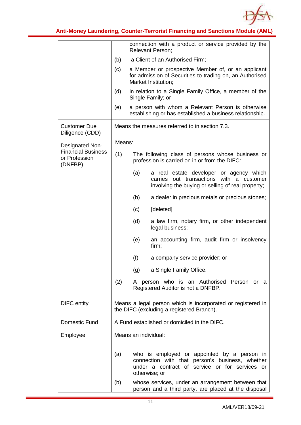

|                                                       |        | connection with a product or service provided by the<br><b>Relevant Person;</b>                                                                                   |  |  |  |
|-------------------------------------------------------|--------|-------------------------------------------------------------------------------------------------------------------------------------------------------------------|--|--|--|
|                                                       | (b)    | a Client of an Authorised Firm;                                                                                                                                   |  |  |  |
|                                                       | (c)    | a Member or prospective Member of, or an applicant<br>for admission of Securities to trading on, an Authorised<br>Market Institution;                             |  |  |  |
|                                                       | (d)    | in relation to a Single Family Office, a member of the<br>Single Family; or                                                                                       |  |  |  |
|                                                       | (e)    | a person with whom a Relevant Person is otherwise<br>establishing or has established a business relationship.                                                     |  |  |  |
| <b>Customer Due</b><br>Diligence (CDD)                |        | Means the measures referred to in section 7.3.                                                                                                                    |  |  |  |
| Designated Non-                                       | Means: |                                                                                                                                                                   |  |  |  |
| <b>Financial Business</b><br>or Profession<br>(DNFBP) | (1)    | The following class of persons whose business or<br>profession is carried on in or from the DIFC:                                                                 |  |  |  |
|                                                       |        | (a)<br>a real estate developer or agency which<br>carries out transactions with a customer<br>involving the buying or selling of real property;                   |  |  |  |
|                                                       |        | (b)<br>a dealer in precious metals or precious stones;                                                                                                            |  |  |  |
|                                                       |        | (c)<br>[deleted]                                                                                                                                                  |  |  |  |
|                                                       |        | (d)<br>a law firm, notary firm, or other independent<br>legal business;                                                                                           |  |  |  |
|                                                       |        | (e)<br>an accounting firm, audit firm or insolvency<br>firm;                                                                                                      |  |  |  |
|                                                       |        | (f)<br>a company service provider; or                                                                                                                             |  |  |  |
|                                                       |        | a Single Family Office.<br>(g)                                                                                                                                    |  |  |  |
|                                                       | (2)    | A person who is an Authorised Person or a<br>Registered Auditor is not a DNFBP.                                                                                   |  |  |  |
| <b>DIFC</b> entity                                    |        | Means a legal person which is incorporated or registered in<br>the DIFC (excluding a registered Branch).                                                          |  |  |  |
| Domestic Fund                                         |        | A Fund established or domiciled in the DIFC.                                                                                                                      |  |  |  |
| Employee                                              |        | Means an individual:                                                                                                                                              |  |  |  |
|                                                       | (a)    | who is employed or appointed by a person in<br>connection with that person's business, whether<br>under a contract of service or for services or<br>otherwise; or |  |  |  |
|                                                       | (b)    | whose services, under an arrangement between that<br>person and a third party, are placed at the disposal                                                         |  |  |  |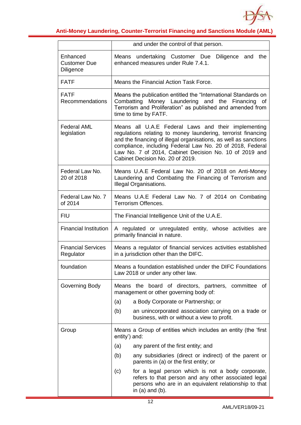

|                                                     | and under the control of that person.                                                                                                                                                                                                                                                                                                               |  |  |  |  |  |
|-----------------------------------------------------|-----------------------------------------------------------------------------------------------------------------------------------------------------------------------------------------------------------------------------------------------------------------------------------------------------------------------------------------------------|--|--|--|--|--|
| Enhanced<br><b>Customer Due</b><br><b>Diligence</b> | Means undertaking Customer Due<br>Diligence and the<br>enhanced measures under Rule 7.4.1.                                                                                                                                                                                                                                                          |  |  |  |  |  |
| <b>FATF</b>                                         | Means the Financial Action Task Force.                                                                                                                                                                                                                                                                                                              |  |  |  |  |  |
| <b>FATF</b><br><b>Recommendations</b>               | Means the publication entitled the "International Standards on<br>Combatting Money Laundering and the Financing of<br>Terrorism and Proliferation" as published and amended from<br>time to time by FATF.                                                                                                                                           |  |  |  |  |  |
| <b>Federal AML</b><br>legislation                   | Means all U.A.E Federal Laws and their implementing<br>regulations relating to money laundering, terrorist financing<br>and the financing of illegal organisations, as well as sanctions<br>compliance, including Federal Law No. 20 of 2018, Federal<br>Law No. 7 of 2014, Cabinet Decision No. 10 of 2019 and<br>Cabinet Decision No. 20 of 2019. |  |  |  |  |  |
| Federal Law No.<br>20 of 2018                       | Means U.A.E Federal Law No. 20 of 2018 on Anti-Money<br>Laundering and Combating the Financing of Terrorism and<br>Illegal Organisations.                                                                                                                                                                                                           |  |  |  |  |  |
| Federal Law No. 7<br>of 2014                        | Means U.A.E Federal Law No. 7 of 2014 on Combating<br>Terrorism Offences.                                                                                                                                                                                                                                                                           |  |  |  |  |  |
| <b>FIU</b>                                          | The Financial Intelligence Unit of the U.A.E.                                                                                                                                                                                                                                                                                                       |  |  |  |  |  |
| <b>Financial Institution</b>                        | A regulated or unregulated entity, whose activities are<br>primarily financial in nature.                                                                                                                                                                                                                                                           |  |  |  |  |  |
| <b>Financial Services</b><br>Regulator              | Means a regulator of financial services activities established<br>in a jurisdiction other than the DIFC.                                                                                                                                                                                                                                            |  |  |  |  |  |
| foundation                                          | Means a foundation established under the DIFC Foundations<br>Law 2018 or under any other law.                                                                                                                                                                                                                                                       |  |  |  |  |  |
| Governing Body                                      | Means the board of directors, partners, committee of<br>management or other governing body of:                                                                                                                                                                                                                                                      |  |  |  |  |  |
|                                                     | a Body Corporate or Partnership; or<br>(a)                                                                                                                                                                                                                                                                                                          |  |  |  |  |  |
|                                                     | (b)<br>an unincorporated association carrying on a trade or<br>business, with or without a view to profit.                                                                                                                                                                                                                                          |  |  |  |  |  |
| Group                                               | Means a Group of entities which includes an entity (the 'first<br>entity') and:                                                                                                                                                                                                                                                                     |  |  |  |  |  |
|                                                     | any parent of the first entity; and<br>(a)                                                                                                                                                                                                                                                                                                          |  |  |  |  |  |
|                                                     | (b)<br>any subsidiaries (direct or indirect) of the parent or<br>parents in (a) or the first entity; or                                                                                                                                                                                                                                             |  |  |  |  |  |
|                                                     | for a legal person which is not a body corporate,<br>(c)<br>refers to that person and any other associated legal<br>persons who are in an equivalent relationship to that<br>in $(a)$ and $(b)$ .                                                                                                                                                   |  |  |  |  |  |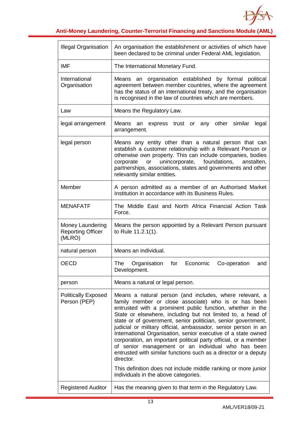

| <b>Illegal Organisation</b>                            | An organisation the establishment or activities of which have<br>been declared to be criminal under Federal AML legislation.                                                                                                                                                                                                                                                                                                                                                                                                                                                                                                                                                                                                                                        |
|--------------------------------------------------------|---------------------------------------------------------------------------------------------------------------------------------------------------------------------------------------------------------------------------------------------------------------------------------------------------------------------------------------------------------------------------------------------------------------------------------------------------------------------------------------------------------------------------------------------------------------------------------------------------------------------------------------------------------------------------------------------------------------------------------------------------------------------|
| <b>IMF</b>                                             | The International Monetary Fund.                                                                                                                                                                                                                                                                                                                                                                                                                                                                                                                                                                                                                                                                                                                                    |
| International<br>Organisation                          | organisation established by formal political<br>Means<br>an<br>agreement between member countries, where the agreement<br>has the status of an international treaty, and the organisation<br>is recognised in the law of countries which are members.                                                                                                                                                                                                                                                                                                                                                                                                                                                                                                               |
| Law                                                    | Means the Regulatory Law.                                                                                                                                                                                                                                                                                                                                                                                                                                                                                                                                                                                                                                                                                                                                           |
| legal arrangement                                      | Means<br>express trust or any other similar<br>legal<br>an<br>arrangement.                                                                                                                                                                                                                                                                                                                                                                                                                                                                                                                                                                                                                                                                                          |
| legal person                                           | Means any entity other than a natural person that can<br>establish a customer relationship with a Relevant Person or<br>otherwise own property. This can include companies, bodies<br>unincorporate, foundations,<br>corporate<br>anstalten,<br>or<br>partnerships, associations, states and governments and other<br>relevantly similar entities.                                                                                                                                                                                                                                                                                                                                                                                                                  |
| Member                                                 | A person admitted as a member of an Authorised Market<br>Institution in accordance with its Business Rules.                                                                                                                                                                                                                                                                                                                                                                                                                                                                                                                                                                                                                                                         |
| <b>MENAFATF</b>                                        | The Middle East and North Africa Financial Action Task<br>Force.                                                                                                                                                                                                                                                                                                                                                                                                                                                                                                                                                                                                                                                                                                    |
| Money Laundering<br><b>Reporting Officer</b><br>(MLRO) | Means the person appointed by a Relevant Person pursuant<br>to Rule 11.2.1(1).                                                                                                                                                                                                                                                                                                                                                                                                                                                                                                                                                                                                                                                                                      |
| natural person                                         | Means an individual.                                                                                                                                                                                                                                                                                                                                                                                                                                                                                                                                                                                                                                                                                                                                                |
| <b>OECD</b>                                            | The<br>Organisation<br>for<br>Economic<br>Co-operation<br>and I<br>Development.                                                                                                                                                                                                                                                                                                                                                                                                                                                                                                                                                                                                                                                                                     |
| person                                                 | Means a natural or legal person.                                                                                                                                                                                                                                                                                                                                                                                                                                                                                                                                                                                                                                                                                                                                    |
| <b>Politically Exposed</b><br>Person (PEP)             | Means a natural person (and includes, where relevant, a<br>family member or close associate) who is or has been<br>entrusted with a prominent public function, whether in the<br>State or elsewhere, including but not limited to, a head of<br>state or of government, senior politician, senior government,<br>judicial or military official, ambassador, senior person in an<br>International Organisation, senior executive of a state owned<br>corporation, an important political party official, or a member<br>of senior management or an individual who has been<br>entrusted with similar functions such as a director or a deputy<br>director.<br>This definition does not include middle ranking or more junior<br>individuals in the above categories. |
| <b>Registered Auditor</b>                              | Has the meaning given to that term in the Regulatory Law.                                                                                                                                                                                                                                                                                                                                                                                                                                                                                                                                                                                                                                                                                                           |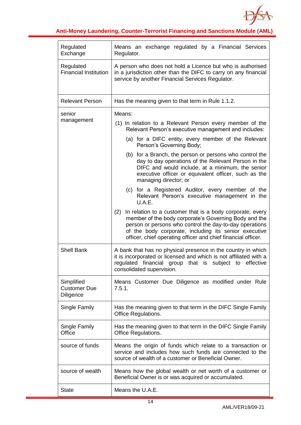

| Regulated<br>Exchange                                 | Means an exchange regulated by a Financial Services<br>Regulator.                                                                                                                                                                                                                                              |
|-------------------------------------------------------|----------------------------------------------------------------------------------------------------------------------------------------------------------------------------------------------------------------------------------------------------------------------------------------------------------------|
| Regulated<br><b>Financial Institution</b>             | A person who does not hold a Licence but who is authorised<br>in a jurisdiction other than the DIFC to carry on any financial<br>service by another Financial Services Regulator.                                                                                                                              |
| <b>Relevant Person</b>                                | Has the meaning given to that term in Rule 1.1.2.                                                                                                                                                                                                                                                              |
| senior<br>management                                  | Means:<br>(1) In relation to a Relevant Person every member of the<br>Relevant Person's executive management and includes:<br>(a) for a DIFC entity, every member of the Relevant<br>Person's Governing Body;                                                                                                  |
|                                                       | (b) for a Branch, the person or persons who control the<br>day to day operations of the Relevant Person in the<br>DIFC and would include, at a minimum, the senior<br>executive officer or equivalent officer, such as the<br>managing director; or                                                            |
|                                                       | (c) for a Registered Auditor, every member of the<br>Relevant Person's executive management in the<br>U.A.E.                                                                                                                                                                                                   |
|                                                       | In relation to a customer that is a body corporate, every<br>(2)<br>member of the body corporate's Governing Body and the<br>person or persons who control the day-to-day operations<br>of the body corporate, including its senior executive<br>officer, chief operating officer and chief financial officer. |
| <b>Shell Bank</b>                                     | A bank that has no physical presence in the country in which<br>it is incorporated or licensed and which is not affiliated with a<br>regulated financial group that is subject to<br>effective<br>consolidated supervision.                                                                                    |
| Simplified<br><b>Customer Due</b><br><b>Diligence</b> | Means Customer Due Diligence as modified under Rule<br>7.5.1.                                                                                                                                                                                                                                                  |
| Single Family                                         | Has the meaning given to that term in the DIFC Single Family<br><b>Office Regulations.</b>                                                                                                                                                                                                                     |
| Single Family<br>Office                               | Has the meaning given to that term in the DIFC Single Family<br><b>Office Regulations.</b>                                                                                                                                                                                                                     |
| source of funds                                       | Means the origin of funds which relate to a transaction or<br>service and includes how such funds are connected to the<br>source of wealth of a customer or Beneficial Owner.                                                                                                                                  |
| source of wealth                                      | Means how the global wealth or net worth of a customer or<br>Beneficial Owner is or was acquired or accumulated.                                                                                                                                                                                               |
| <b>State</b>                                          | Means the U.A.E.                                                                                                                                                                                                                                                                                               |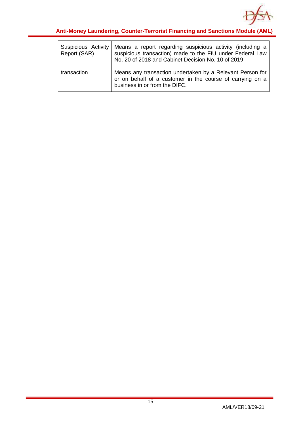

| Suspicious Activity<br>Report (SAR) | Means a report regarding suspicious activity (including a<br>suspicious transaction) made to the FIU under Federal Law<br>No. 20 of 2018 and Cabinet Decision No. 10 of 2019. |
|-------------------------------------|-------------------------------------------------------------------------------------------------------------------------------------------------------------------------------|
| transaction                         | Means any transaction undertaken by a Relevant Person for<br>or on behalf of a customer in the course of carrying on a<br>business in or from the DIFC.                       |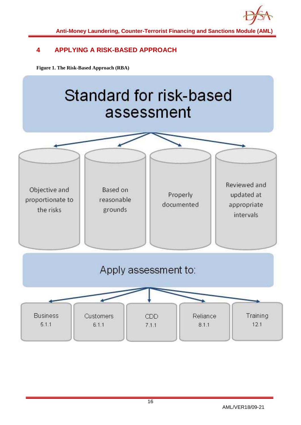

## <span id="page-16-0"></span>**4 APPLYING A RISK-BASED APPROACH**

**Figure 1. The Risk-Based Approach (RBA)**

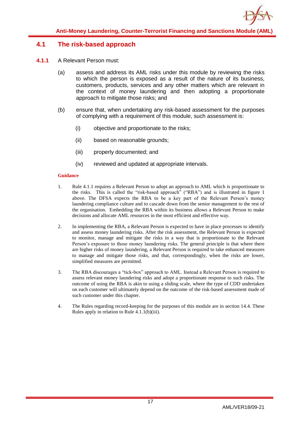## <span id="page-17-0"></span>**4.1 The risk-based approach**

- **4.1.1** A Relevant Person must:
	- (a) assess and address its AML risks under this module by reviewing the risks to which the person is exposed as a result of the nature of its business, customers, products, services and any other matters which are relevant in the context of money laundering and then adopting a proportionate approach to mitigate those risks; and
	- (b) ensure that, when undertaking any risk-based assessment for the purposes of complying with a requirement of this module, such assessment is:
		- (i) objective and proportionate to the risks;
		- (ii) based on reasonable grounds;
		- (iii) properly documented; and
		- (iv) reviewed and updated at appropriate intervals.

#### **Guidance**

- 1. Rule 4.1.1 requires a Relevant Person to adopt an approach to AML which is proportionate to the risks. This is called the "risk-based approach" ("RBA") and is illustrated in figure 1 above. The DFSA expects the RBA to be a key part of the Relevant Person's money laundering compliance culture and to cascade down from the senior management to the rest of the organisation. Embedding the RBA within its business allows a Relevant Person to make decisions and allocate AML resources in the most efficient and effective way.
- 2. In implementing the RBA, a Relevant Person is expected to have in place processes to identify and assess money laundering risks. After the risk assessment, the Relevant Person is expected to monitor, manage and mitigate the risks in a way that is proportionate to the Relevant Person's exposure to those money laundering risks. The general principle is that where there are higher risks of money laundering, a Relevant Person is required to take enhanced measures to manage and mitigate those risks, and that, correspondingly, when the risks are lower, simplified measures are permitted.
- 3. The RBA discourages a "tick-box" approach to AML. Instead a Relevant Person is required to assess relevant money laundering risks and adopt a proportionate response to such risks. The outcome of using the RBA is akin to using a sliding scale, where the type of CDD undertaken on each customer will ultimately depend on the outcome of the risk-based assessment made of such customer under this chapter.
- 4. The Rules regarding record-keeping for the purposes of this module are in section 14.4. These Rules apply in relation to Rule 4.1.1(b)(iii).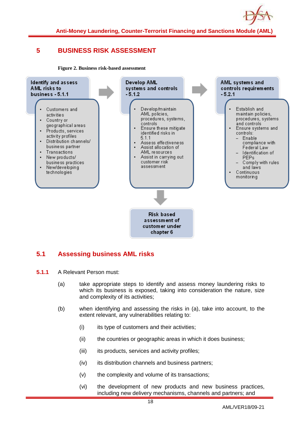

## <span id="page-18-0"></span>**5 BUSINESS RISK ASSESSMENT**

**Figure 2. Business risk-based assessment**



## <span id="page-18-1"></span>**5.1 Assessing business AML risks**

- **5.1.1** A Relevant Person must:
	- (a) take appropriate steps to identify and assess money laundering risks to which its business is exposed, taking into consideration the nature, size and complexity of its activities;
	- (b) when identifying and assessing the risks in (a), take into account, to the extent relevant, any vulnerabilities relating to:
		- $(i)$  its type of customers and their activities;
		- (ii) the countries or geographic areas in which it does business;
		- (iii) its products, services and activity profiles;
		- (iv) its distribution channels and business partners;
		- (v) the complexity and volume of its transactions;
		- (vi) the development of new products and new business practices, including new delivery mechanisms, channels and partners; and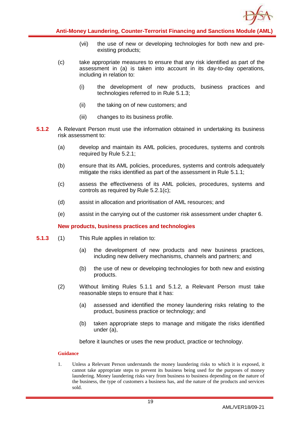

- (vii) the use of new or developing technologies for both new and preexisting products;
- (c) take appropriate measures to ensure that any risk identified as part of the assessment in (a) is taken into account in its day-to-day operations, including in relation to:
	- (i) the development of new products, business practices and technologies referred to in Rule 5.1.3;
	- (ii) the taking on of new customers; and
	- (iii) changes to its business profile.
- **5.1.2** A Relevant Person must use the information obtained in undertaking its business risk assessment to:
	- (a) develop and maintain its AML policies, procedures, systems and controls required by Rule 5.2.1;
	- (b) ensure that its AML policies, procedures, systems and controls adequately mitigate the risks identified as part of the assessment in Rule 5.1.1;
	- (c) assess the effectiveness of its AML policies, procedures, systems and controls as required by Rule 5.2.1(c);
	- (d) assist in allocation and prioritisation of AML resources; and
	- (e) assist in the carrying out of the customer risk assessment under chapter 6.

#### **New products, business practices and technologies**

- **5.1.3** (1) This Rule applies in relation to:
	- (a) the development of new products and new business practices, including new delivery mechanisms, channels and partners; and
	- (b) the use of new or developing technologies for both new and existing products.
	- (2) Without limiting Rules 5.1.1 and 5.1.2, a Relevant Person must take reasonable steps to ensure that it has:
		- (a) assessed and identified the money laundering risks relating to the product, business practice or technology; and
		- (b) taken appropriate steps to manage and mitigate the risks identified under (a),

before it launches or uses the new product, practice or technology.

#### **Guidance**

1. Unless a Relevant Person understands the money laundering risks to which it is exposed, it cannot take appropriate steps to prevent its business being used for the purposes of money laundering. Money laundering risks vary from business to business depending on the nature of the business, the type of customers a business has, and the nature of the products and services sold.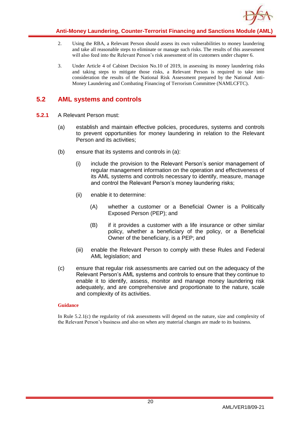

- 2. Using the RBA, a Relevant Person should assess its own vulnerabilities to money laundering and take all reasonable steps to eliminate or manage such risks. The results of this assessment will also feed into the Relevant Person's risk assessment of its customers under chapter 6.
- 3. Under Article 4 of Cabinet Decision No.10 of 2019, in assessing its money laundering risks and taking steps to mitigate those risks, a Relevant Person is required to take into consideration the results of the National Risk Assessment prepared by the National Anti-Money Laundering and Combating Financing of Terrorism Committee (NAMLCFTC).

## <span id="page-20-0"></span>**5.2 AML systems and controls**

- **5.2.1** A Relevant Person must:
	- (a) establish and maintain effective policies, procedures, systems and controls to prevent opportunities for money laundering in relation to the Relevant Person and its activities;
	- (b) ensure that its systems and controls in (a):
		- (i) include the provision to the Relevant Person's senior management of regular management information on the operation and effectiveness of its AML systems and controls necessary to identify, measure, manage and control the Relevant Person's money laundering risks;
		- (ii) enable it to determine:
			- (A) whether a customer or a Beneficial Owner is a Politically Exposed Person (PEP); and
			- (B) if it provides a customer with a life insurance or other similar policy, whether a beneficiary of the policy, or a Beneficial Owner of the beneficiary, is a PEP; and
		- (iii) enable the Relevant Person to comply with these Rules and Federal AML legislation; and
	- (c) ensure that regular risk assessments are carried out on the adequacy of the Relevant Person's AML systems and controls to ensure that they continue to enable it to identify, assess, monitor and manage money laundering risk adequately, and are comprehensive and proportionate to the nature, scale and complexity of its activities.

#### **Guidance**

In Rule 5.2.1(c) the regularity of risk assessments will depend on the nature, size and complexity of the Relevant Person's business and also on when any material changes are made to its business.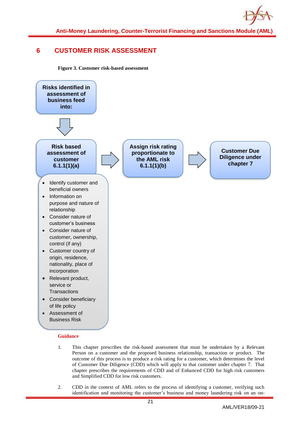

## <span id="page-21-0"></span>**6 CUSTOMER RISK ASSESSMENT**

**Figure 3. Customer risk-based assessment**



#### **Guidance**

- 1. This chapter prescribes the risk-based assessment that must be undertaken by a Relevant Person on a customer and the proposed business relationship, transaction or product. The outcome of this process is to produce a risk rating for a customer, which determines the level of Customer Due Diligence (CDD) which will apply to that customer under chapter 7. That chapter prescribes the requirements of CDD and of Enhanced CDD for high risk customers and Simplified CDD for low risk customers.
- 2. CDD in the context of AML refers to the process of identifying a customer, verifying such identification and monitoring the customer's business and money laundering risk on an on-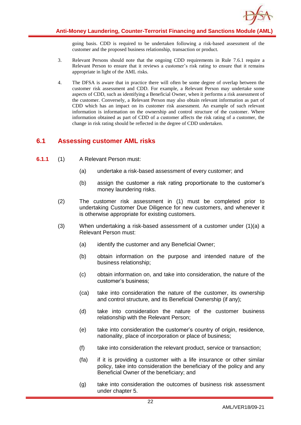

going basis. CDD is required to be undertaken following a risk-based assessment of the customer and the proposed business relationship, transaction or product.

- 3. Relevant Persons should note that the ongoing CDD requirements in Rule 7.6.1 require a Relevant Person to ensure that it reviews a customer's risk rating to ensure that it remains appropriate in light of the AML risks.
- 4. The DFSA is aware that in practice there will often be some degree of overlap between the customer risk assessment and CDD. For example, a Relevant Person may undertake some aspects of CDD, such as identifying a Beneficial Owner, when it performs a risk assessment of the customer. Conversely, a Relevant Person may also obtain relevant information as part of CDD which has an impact on its customer risk assessment. An example of such relevant information is information on the ownership and control structure of the customer. Where information obtained as part of CDD of a customer affects the risk rating of a customer, the change in risk rating should be reflected in the degree of CDD undertaken.

## <span id="page-22-0"></span>**6.1 Assessing customer AML risks**

- **6.1.1** (1) A Relevant Person must:
	- (a) undertake a risk-based assessment of every customer; and
	- (b) assign the customer a risk rating proportionate to the customer's money laundering risks.
	- (2) The customer risk assessment in (1) must be completed prior to undertaking Customer Due Diligence for new customers, and whenever it is otherwise appropriate for existing customers.
	- (3) When undertaking a risk-based assessment of a customer under (1)(a) a Relevant Person must:
		- (a) identify the customer and any Beneficial Owner;
		- (b) obtain information on the purpose and intended nature of the business relationship;
		- (c) obtain information on, and take into consideration, the nature of the customer's business;
		- (ca) take into consideration the nature of the customer, its ownership and control structure, and its Beneficial Ownership (if any);
		- (d) take into consideration the nature of the customer business relationship with the Relevant Person;
		- (e) take into consideration the customer's country of origin, residence, nationality, place of incorporation or place of business;
		- (f) take into consideration the relevant product, service or transaction;
		- (fa) if it is providing a customer with a life insurance or other similar policy, take into consideration the beneficiary of the policy and any Beneficial Owner of the beneficiary; and
		- (g) take into consideration the outcomes of business risk assessment under chapter 5.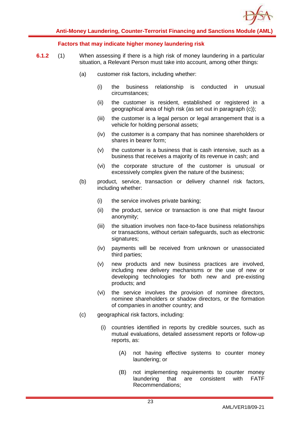

#### **Factors that may indicate higher money laundering risk**

- **6.1.2** (1) When assessing if there is a high risk of money laundering in a particular situation, a Relevant Person must take into account, among other things:
	- (a) customer risk factors, including whether:
		- (i) the business relationship is conducted in unusual circumstances;
		- (ii) the customer is resident, established or registered in a geographical area of high risk (as set out in paragraph (c));
		- (iii) the customer is a legal person or legal arrangement that is a vehicle for holding personal assets;
		- (iv) the customer is a company that has nominee shareholders or shares in bearer form;
		- (v) the customer is a business that is cash intensive, such as a business that receives a majority of its revenue in cash; and
		- (vi) the corporate structure of the customer is unusual or excessively complex given the nature of the business;
	- (b) product, service, transaction or delivery channel risk factors, including whether:
		- (i) the service involves private banking;
		- (ii) the product, service or transaction is one that might favour anonymity;
		- (iii) the situation involves non face-to-face business relationships or transactions, without certain safeguards, such as electronic signatures;
		- (iv) payments will be received from unknown or unassociated third parties;
		- (v) new products and new business practices are involved, including new delivery mechanisms or the use of new or developing technologies for both new and pre-existing products; and
		- (vi) the service involves the provision of nominee directors, nominee shareholders or shadow directors, or the formation of companies in another country; and
	- (c) geographical risk factors, including:
		- (i) countries identified in reports by credible sources, such as mutual evaluations, detailed assessment reports or follow-up reports, as:
			- (A) not having effective systems to counter money laundering; or
			- (B) not implementing requirements to counter money laundering that are consistent with FATF Recommendations;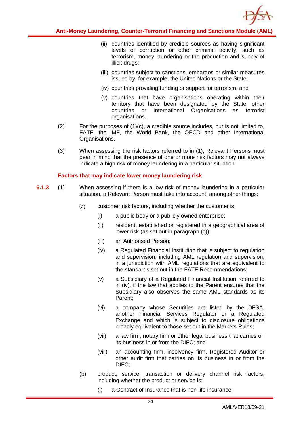

- (ii) countries identified by credible sources as having significant levels of corruption or other criminal activity, such as terrorism, money laundering or the production and supply of illicit drugs;
- (iii) countries subject to sanctions, embargos or similar measures issued by, for example, the United Nations or the State;
- (iv) countries providing funding or support for terrorism; and
- (v) countries that have organisations operating within their territory that have been designated by the State, other countries or International Organisations as terrorist organisations.
- (2) For the purposes of (1)(c), a credible source includes, but is not limited to, FATF, the IMF, the World Bank, the OECD and other International Organisations.
- (3) When assessing the risk factors referred to in (1), Relevant Persons must bear in mind that the presence of one or more risk factors may not always indicate a high risk of money laundering in a particular situation.

#### **Factors that may indicate lower money laundering risk**

- **6.1.3** (1) When assessing if there is a low risk of money laundering in a particular situation, a Relevant Person must take into account, among other things:
	- (a) customer risk factors, including whether the customer is:
		- (i) a public body or a publicly owned enterprise;
		- (ii) resident, established or registered in a geographical area of lower risk (as set out in paragraph (c));
		- (iii) an Authorised Person;
		- (iv) a Regulated Financial Institution that is subject to regulation and supervision, including AML regulation and supervision, in a jurisdiction with AML regulations that are equivalent to the standards set out in the FATF Recommendations;
		- (v) a Subsidiary of a Regulated Financial Institution referred to in (iv), if the law that applies to the Parent ensures that the Subsidiary also observes the same AML standards as its Parent;
		- (vi) a company whose Securities are listed by the DFSA, another Financial Services Regulator or a Regulated Exchange and which is subject to disclosure obligations broadly equivalent to those set out in the Markets Rules;
		- (vii) a law firm, notary firm or other legal business that carries on its business in or from the DIFC; and
		- (viii) an accounting firm, insolvency firm, Registered Auditor or other audit firm that carries on its business in or from the DIFC;
	- (b) product, service, transaction or delivery channel risk factors, including whether the product or service is:
		- (i) a Contract of Insurance that is non-life insurance;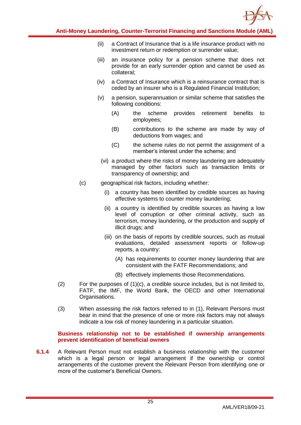

- (ii) a Contract of Insurance that is a life insurance product with no investment return or redemption or surrender value;
- (iii) an insurance policy for a pension scheme that does not provide for an early surrender option and cannot be used as collateral;
- (iv) a Contract of Insurance which is a reinsurance contract that is ceded by an insurer who is a Regulated Financial Institution;
- (v) a pension, superannuation or similar scheme that satisfies the following conditions:
	- (A) the scheme provides retirement benefits to employees;
	- (B) contributions to the scheme are made by way of deductions from wages; and
	- (C) the scheme rules do not permit the assignment of a member's interest under the scheme; and
	- (vi) a product where the risks of money laundering are adequately managed by other factors such as transaction limits or transparency of ownership; and
- (c) geographical risk factors, including whether:
	- (i) a country has been identified by credible sources as having effective systems to counter money laundering;
	- (ii) a country is identified by credible sources as having a low level of corruption or other criminal activity, such as terrorism, money laundering, or the production and supply of illicit drugs; and
	- (iii) on the basis of reports by credible sources, such as mutual evaluations, detailed assessment reports or follow-up reports, a country:
		- (A) has requirements to counter money laundering that are consistent with the FATF Recommendations; and
		- (B) effectively implements those Recommendations.
- (2) For the purposes of (1)(c), a credible source includes, but is not limited to, FATF, the IMF, the World Bank, the OECD and other International Organisations.
- (3) When assessing the risk factors referred to in (1), Relevant Persons must bear in mind that the presence of one or more risk factors may not always indicate a low risk of money laundering in a particular situation.

**Business relationship not to be established if ownership arrangements prevent identification of beneficial owners**

**6.1.4** A Relevant Person must not establish a business relationship with the customer which is a legal person or legal arrangement if the ownership or control arrangements of the customer prevent the Relevant Person from identifying one or more of the customer's Beneficial Owners.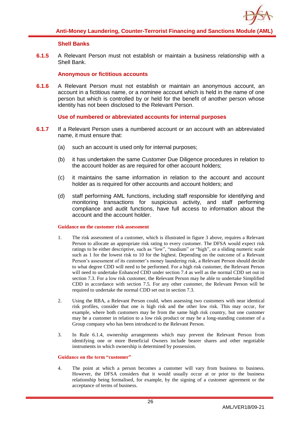

#### **Shell Banks**

**6.1.5** A Relevant Person must not establish or maintain a business relationship with a Shell Bank.

#### **Anonymous or fictitious accounts**

**6.1.6** A Relevant Person must not establish or maintain an anonymous account, an account in a fictitious name, or a nominee account which is held in the name of one person but which is controlled by or held for the benefit of another person whose identity has not been disclosed to the Relevant Person.

#### **Use of numbered or abbreviated accounts for internal purposes**

- **6.1.7** If a Relevant Person uses a numbered account or an account with an abbreviated name, it must ensure that:
	- (a) such an account is used only for internal purposes;
	- (b) it has undertaken the same Customer Due Diligence procedures in relation to the account holder as are required for other account holders;
	- (c) it maintains the same information in relation to the account and account holder as is required for other accounts and account holders; and
	- (d) staff performing AML functions, including staff responsible for identifying and monitoring transactions for suspicious activity, and staff performing compliance and audit functions, have full access to information about the account and the account holder.

#### **Guidance on the customer risk assessment**

- 1. The risk assessment of a customer, which is illustrated in figure 3 above, requires a Relevant Person to allocate an appropriate risk rating to every customer. The DFSA would expect risk ratings to be either descriptive, such as "low", "medium" or "high", or a sliding numeric scale such as 1 for the lowest risk to 10 for the highest. Depending on the outcome of a Relevant Person's assessment of its customer's money laundering risk, a Relevant Person should decide to what degree CDD will need to be performed. For a high risk customer, the Relevant Person will need to undertake Enhanced CDD under section 7.4 as well as the normal CDD set out in section 7.3. For a low risk customer, the Relevant Person may be able to undertake Simplified CDD in accordance with section 7.5. For any other customer, the Relevant Person will be required to undertake the normal CDD set out in section 7.3.
- 2. Using the RBA, a Relevant Person could, when assessing two customers with near identical risk profiles, consider that one is high risk and the other low risk. This may occur, for example, where both customers may be from the same high risk country, but one customer may be a customer in relation to a low risk product or may be a long-standing customer of a Group company who has been introduced to the Relevant Person.
- 3. In Rule 6.1.4, ownership arrangements which may prevent the Relevant Person from identifying one or more Beneficial Owners include bearer shares and other negotiable instruments in which ownership is determined by possession.

#### **Guidance on the term "customer"**

4. The point at which a person becomes a customer will vary from business to business. However, the DFSA considers that it would usually occur at or prior to the business relationship being formalised, for example, by the signing of a customer agreement or the acceptance of terms of business.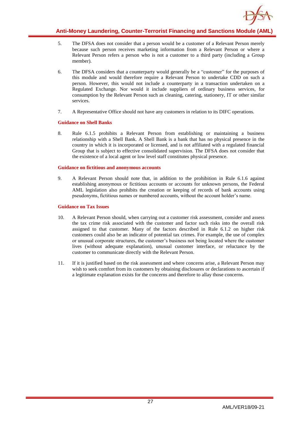

- 5. The DFSA does not consider that a person would be a customer of a Relevant Person merely because such person receives marketing information from a Relevant Person or where a Relevant Person refers a person who is not a customer to a third party (including a Group member).
- 6. The DFSA considers that a counterparty would generally be a "customer" for the purposes of this module and would therefore require a Relevant Person to undertake CDD on such a person. However, this would not include a counterparty in a transaction undertaken on a Regulated Exchange. Nor would it include suppliers of ordinary business services, for consumption by the Relevant Person such as cleaning, catering, stationery, IT or other similar services.
- 7. A Representative Office should not have any customers in relation to its DIFC operations.

#### **Guidance on Shell Banks**

8. Rule 6.1.5 prohibits a Relevant Person from establishing or maintaining a business relationship with a Shell Bank. A Shell Bank is a bank that has no physical presence in the country in which it is incorporated or licensed, and is not affiliated with a regulated financial Group that is subject to effective consolidated supervision. The DFSA does not consider that the existence of a local agent or low level staff constitutes physical presence.

#### **Guidance on fictitious and anonymous accounts**

9. A Relevant Person should note that, in addition to the prohibition in Rule 6.1.6 against establishing anonymous or fictitious accounts or accounts for unknown persons, the Federal AML legislation also prohibits the creation or keeping of records of bank accounts using pseudonyms, fictitious names or numbered accounts, without the account holder's name.

#### **Guidance on Tax Issues**

- 10. A Relevant Person should, when carrying out a customer risk assessment, consider and assess the tax crime risk associated with the customer and factor such risks into the overall risk assigned to that customer. Many of the factors described in Rule 6.1.2 on higher risk customers could also be an indicator of potential tax crimes. For example, the use of complex or unusual corporate structures, the customer's business not being located where the customer lives (without adequate explanation), unusual customer interface, or reluctance by the customer to communicate directly with the Relevant Person.
- 11. If it is justified based on the risk assessment and where concerns arise, a Relevant Person may wish to seek comfort from its customers by obtaining disclosures or declarations to ascertain if a legitimate explanation exists for the concerns and therefore to allay those concerns.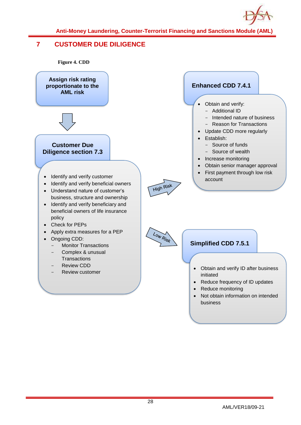

## <span id="page-28-0"></span>**7 CUSTOMER DUE DILIGENCE**

**Figure 4. CDD**

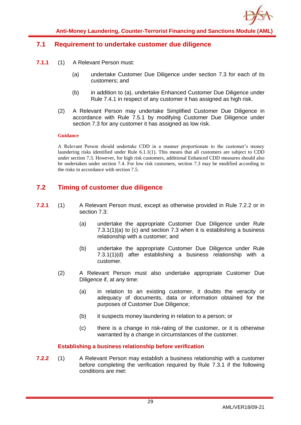

### <span id="page-29-0"></span>**7.1 Requirement to undertake customer due diligence**

- **7.1.1** (1) A Relevant Person must:
	- (a) undertake Customer Due Diligence under section 7.3 for each of its customers; and
	- (b) in addition to (a), undertake Enhanced Customer Due Diligence under Rule 7.4.1 in respect of any customer it has assigned as high risk.
	- (2) A Relevant Person may undertake Simplified Customer Due Diligence in accordance with Rule 7.5.1 by modifying Customer Due Diligence under section 7.3 for any customer it has assigned as low risk.

#### **Guidance**

A Relevant Person should undertake CDD in a manner proportionate to the customer's money laundering risks identified under Rule 6.1.1(1). This means that all customers are subject to CDD under section 7.3. However, for high risk customers, additional Enhanced CDD measures should also be undertaken under section 7.4. For low risk customers, section 7.3 may be modified according to the risks in accordance with section 7.5.

## <span id="page-29-1"></span>**7.2 Timing of customer due diligence**

- **7.2.1** (1) A Relevant Person must, except as otherwise provided in Rule 7.2.2 or in section 7.3:
	- (a) undertake the appropriate Customer Due Diligence under Rule 7.3.1(1)(a) to (c) and section 7.3 when it is establishing a business relationship with a customer; and
	- (b) undertake the appropriate Customer Due Diligence under Rule 7.3.1(1)(d) after establishing a business relationship with a customer.
	- (2) A Relevant Person must also undertake appropriate Customer Due Diligence if, at any time:
		- (a) in relation to an existing customer, it doubts the veracity or adequacy of documents, data or information obtained for the purposes of Customer Due Diligence;
		- (b) it suspects money laundering in relation to a person; or
		- (c) there is a change in risk-rating of the customer, or it is otherwise warranted by a change in circumstances of the customer.

**Establishing a business relationship before verification**

**7.2.2** (1) A Relevant Person may establish a business relationship with a customer before completing the verification required by Rule 7.3.1 if the following conditions are met: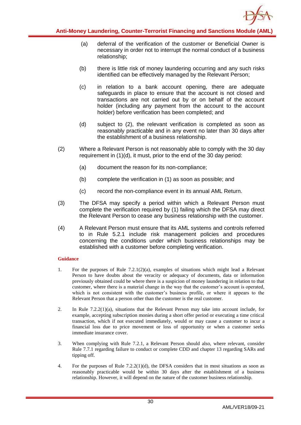

- (a) deferral of the verification of the customer or Beneficial Owner is necessary in order not to interrupt the normal conduct of a business relationship;
- (b) there is little risk of money laundering occurring and any such risks identified can be effectively managed by the Relevant Person;
- (c) in relation to a bank account opening, there are adequate safeguards in place to ensure that the account is not closed and transactions are not carried out by or on behalf of the account holder (including any payment from the account to the account holder) before verification has been completed; and
- (d) subject to (2), the relevant verification is completed as soon as reasonably practicable and in any event no later than 30 days after the establishment of a business relationship.
- (2) Where a Relevant Person is not reasonably able to comply with the 30 day requirement in (1)(d), it must, prior to the end of the 30 day period:
	- (a) document the reason for its non-compliance;
	- (b) complete the verification in (1) as soon as possible; and
	- (c) record the non-compliance event in its annual AML Return.
- (3) The DFSA may specify a period within which a Relevant Person must complete the verification required by (1) failing which the DFSA may direct the Relevant Person to cease any business relationship with the customer.
- (4) A Relevant Person must ensure that its AML systems and controls referred to in Rule 5.2.1 include risk management policies and procedures concerning the conditions under which business relationships may be established with a customer before completing verification.

#### **Guidance**

- 1. For the purposes of Rule 7.2.1(2)(a), examples of situations which might lead a Relevant Person to have doubts about the veracity or adequacy of documents, data or information previously obtained could be where there is a suspicion of money laundering in relation to that customer, where there is a material change in the way that the customer's account is operated, which is not consistent with the customer's business profile, or where it appears to the Relevant Person that a person other than the customer is the real customer.
- 2. In Rule 7.2.2(1)(a), situations that the Relevant Person may take into account include, for example, accepting subscription monies during a short offer period or executing a time critical transaction, which if not executed immediately, would or may cause a customer to incur a financial loss due to price movement or loss of opportunity or when a customer seeks immediate insurance cover.
- 3. When complying with Rule 7.2.1, a Relevant Person should also, where relevant, consider Rule 7.7.1 regarding failure to conduct or complete CDD and chapter 13 regarding SARs and tipping off.
- 4. For the purposes of Rule 7.2.2(1)(d), the DFSA considers that in most situations as soon as reasonably practicable would be within 30 days after the establishment of a business relationship. However, it will depend on the nature of the customer business relationship.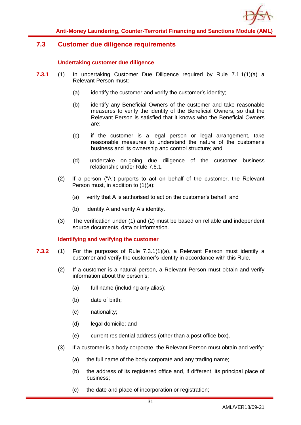

## <span id="page-31-0"></span>**7.3 Customer due diligence requirements**

#### **Undertaking customer due diligence**

- **7.3.1** (1) In undertaking Customer Due Diligence required by Rule 7.1.1(1)(a) a Relevant Person must:
	- (a) identify the customer and verify the customer's identity;
	- (b) identify any Beneficial Owners of the customer and take reasonable measures to verify the identity of the Beneficial Owners, so that the Relevant Person is satisfied that it knows who the Beneficial Owners are;
	- (c) if the customer is a legal person or legal arrangement, take reasonable measures to understand the nature of the customer's business and its ownership and control structure; and
	- (d) undertake on-going due diligence of the customer business relationship under Rule 7.6.1.
	- (2) If a person ("A") purports to act on behalf of the customer, the Relevant Person must, in addition to (1)(a):
		- (a) verify that A is authorised to act on the customer's behalf; and
		- (b) identify A and verify A's identity.
	- (3) The verification under (1) and (2) must be based on reliable and independent source documents, data or information.

#### **Identifying and verifying the customer**

- **7.3.2** (1) For the purposes of Rule 7.3.1(1)(a), a Relevant Person must identify a customer and verify the customer's identity in accordance with this Rule.
	- (2) If a customer is a natural person, a Relevant Person must obtain and verify information about the person's:
		- (a) full name (including any alias);
		- (b) date of birth;
		- (c) nationality;
		- (d) legal domicile; and
		- (e) current residential address (other than a post office box).
	- (3) If a customer is a body corporate, the Relevant Person must obtain and verify:
		- (a) the full name of the body corporate and any trading name;
		- (b) the address of its registered office and, if different, its principal place of business;
		- (c) the date and place of incorporation or registration;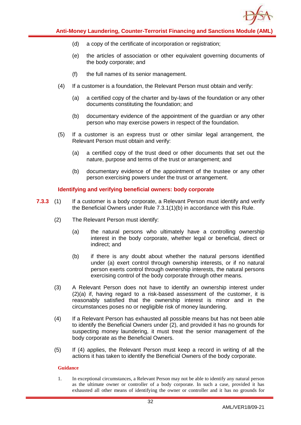

- (d) a copy of the certificate of incorporation or registration;
- (e) the articles of association or other equivalent governing documents of the body corporate; and
- (f) the full names of its senior management.
- (4) If a customer is a foundation, the Relevant Person must obtain and verify:
	- (a) a certified copy of the charter and by-laws of the foundation or any other documents constituting the foundation; and
	- (b) documentary evidence of the appointment of the guardian or any other person who may exercise powers in respect of the foundation.
- (5) If a customer is an express trust or other similar legal arrangement, the Relevant Person must obtain and verify:
	- (a) a certified copy of the trust deed or other documents that set out the nature, purpose and terms of the trust or arrangement; and
	- (b) documentary evidence of the appointment of the trustee or any other person exercising powers under the trust or arrangement.

#### **Identifying and verifying beneficial owners: body corporate**

- **7.3.3** (1) If a customer is a body corporate, a Relevant Person must identify and verify the Beneficial Owners under Rule 7.3.1(1)(b) in accordance with this Rule.
	- (2) The Relevant Person must identify:
		- (a) the natural persons who ultimately have a controlling ownership interest in the body corporate, whether legal or beneficial, direct or indirect; and
		- (b) if there is any doubt about whether the natural persons identified under (a) exert control through ownership interests, or if no natural person exerts control through ownership interests, the natural persons exercising control of the body corporate through other means.
	- (3) A Relevant Person does not have to identify an ownership interest under (2)(a) if, having regard to a risk-based assessment of the customer, it is reasonably satisfied that the ownership interest is minor and in the circumstances poses no or negligible risk of money laundering.
	- (4) If a Relevant Person has exhausted all possible means but has not been able to identify the Beneficial Owners under (2), and provided it has no grounds for suspecting money laundering, it must treat the senior management of the body corporate as the Beneficial Owners.
	- (5) If (4) applies, the Relevant Person must keep a record in writing of all the actions it has taken to identify the Beneficial Owners of the body corporate.

#### **Guidance**

1. In exceptional circumstances, a Relevant Person may not be able to identify any natural person as the ultimate owner or controller of a body corporate. In such a case, provided it has exhausted all other means of identifying the owner or controller and it has no grounds for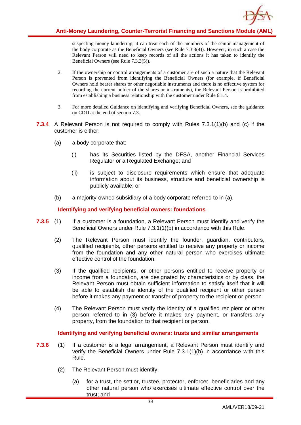

suspecting money laundering, it can treat each of the members of the senior management of the body corporate as the Beneficial Owners (see Rule 7.3.3(4)). However, in such a case the Relevant Person will need to keep records of all the actions it has taken to identify the Beneficial Owners (see Rule 7.3.3(5)).

- 2. If the ownership or control arrangements of a customer are of such a nature that the Relevant Person is prevented from identifying the Beneficial Owners (for example, if Beneficial Owners hold bearer shares or other negotiable instruments and there is no effective system for recording the current holder of the shares or instruments), the Relevant Person is prohibited from establishing a business relationship with the customer under Rule 6.1.4.
- 3. For more detailed Guidance on identifying and verifying Beneficial Owners, see the guidance on CDD at the end of section 7.3.
- **7.3.4** A Relevant Person is not required to comply with Rules 7.3.1(1)(b) and (c) if the customer is either:
	- (a) a body corporate that:
		- (i) has its Securities listed by the DFSA, another Financial Services Regulator or a Regulated Exchange; and
		- (ii) is subject to disclosure requirements which ensure that adequate information about its business, structure and beneficial ownership is publicly available; or
	- (b) a majority-owned subsidiary of a body corporate referred to in (a).

#### **Identifying and verifying beneficial owners: foundations**

- **7.3.5** (1) If a customer is a foundation, a Relevant Person must identify and verify the Beneficial Owners under Rule 7.3.1(1)(b) in accordance with this Rule.
	- (2) The Relevant Person must identify the founder, guardian, contributors, qualified recipients, other persons entitled to receive any property or income from the foundation and any other natural person who exercises ultimate effective control of the foundation.
	- (3) If the qualified recipients, or other persons entitled to receive property or income from a foundation, are designated by characteristics or by class, the Relevant Person must obtain sufficient information to satisfy itself that it will be able to establish the identity of the qualified recipient or other person before it makes any payment or transfer of property to the recipient or person.
	- (4) The Relevant Person must verify the identity of a qualified recipient or other person referred to in (3) before it makes any payment, or transfers any property, from the foundation to that recipient or person.

**Identifying and verifying beneficial owners: trusts and similar arrangements**

- **7.3.6** (1) If a customer is a legal arrangement, a Relevant Person must identify and verify the Beneficial Owners under Rule 7.3.1(1)(b) in accordance with this Rule.
	- (2) The Relevant Person must identify:
		- (a) for a trust, the settlor, trustee, protector, enforcer, beneficiaries and any other natural person who exercises ultimate effective control over the trust; and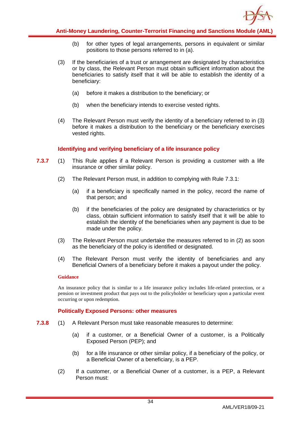

- (b) for other types of legal arrangements, persons in equivalent or similar positions to those persons referred to in (a).
- (3) If the beneficiaries of a trust or arrangement are designated by characteristics or by class, the Relevant Person must obtain sufficient information about the beneficiaries to satisfy itself that it will be able to establish the identity of a beneficiary:
	- (a) before it makes a distribution to the beneficiary; or
	- (b) when the beneficiary intends to exercise vested rights.
- (4) The Relevant Person must verify the identity of a beneficiary referred to in (3) before it makes a distribution to the beneficiary or the beneficiary exercises vested rights.

#### **Identifying and verifying beneficiary of a life insurance policy**

- **7.3.7** (1) This Rule applies if a Relevant Person is providing a customer with a life insurance or other similar policy.
	- (2) The Relevant Person must, in addition to complying with Rule 7.3.1:
		- (a) if a beneficiary is specifically named in the policy, record the name of that person; and
		- (b) if the beneficiaries of the policy are designated by characteristics or by class, obtain sufficient information to satisfy itself that it will be able to establish the identity of the beneficiaries when any payment is due to be made under the policy.
	- (3) The Relevant Person must undertake the measures referred to in (2) as soon as the beneficiary of the policy is identified or designated.
	- (4) The Relevant Person must verify the identity of beneficiaries and any Beneficial Owners of a beneficiary before it makes a payout under the policy.

#### **Guidance**

An insurance policy that is similar to a life insurance policy includes life-related protection, or a pension or investment product that pays out to the policyholder or beneficiary upon a particular event occurring or upon redemption.

#### **Politically Exposed Persons: other measures**

- **7.3.8** (1) A Relevant Person must take reasonable measures to determine:
	- (a) if a customer, or a Beneficial Owner of a customer, is a Politically Exposed Person (PEP); and
	- (b) for a life insurance or other similar policy, if a beneficiary of the policy, or a Beneficial Owner of a beneficiary, is a PEP.
	- (2) If a customer, or a Beneficial Owner of a customer, is a PEP, a Relevant Person must: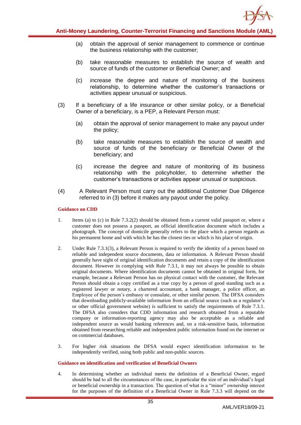

- (a) obtain the approval of senior management to commence or continue the business relationship with the customer;
- (b) take reasonable measures to establish the source of wealth and source of funds of the customer or Beneficial Owner; and
- (c) increase the degree and nature of monitoring of the business relationship, to determine whether the customer's transactions or activities appear unusual or suspicious.
- (3) If a beneficiary of a life insurance or other similar policy, or a Beneficial Owner of a beneficiary, is a PEP, a Relevant Person must:
	- (a) obtain the approval of senior management to make any payout under the policy;
	- (b) take reasonable measures to establish the source of wealth and source of funds of the beneficiary or Beneficial Owner of the beneficiary; and
	- (c) increase the degree and nature of monitoring of its business relationship with the policyholder, to determine whether the customer's transactions or activities appear unusual or suspicious.
- (4) A Relevant Person must carry out the additional Customer Due Diligence referred to in (3) before it makes any payout under the policy.

#### **Guidance on CDD**

- 1. Items (a) to (c) in Rule 7.3.2(2) should be obtained from a current valid passport or, where a customer does not possess a passport, an official identification document which includes a photograph. The concept of domicile generally refers to the place which a person regards as his permanent home and with which he has the closest ties or which is his place of origin.
- 2. Under Rule 7.3.1(3), a Relevant Person is required to verify the identity of a person based on reliable and independent source documents, data or information. A Relevant Person should generally have sight of original identification documents and retain a copy of the identification document. However in complying with Rule 7.3.1, it may not always be possible to obtain original documents. Where identification documents cannot be obtained in original form, for example, because a Relevant Person has no physical contact with the customer, the Relevant Person should obtain a copy certified as a true copy by a person of good standing such as a registered lawyer or notary, a chartered accountant, a bank manager, a police officer, an Employee of the person's embassy or consulate, or other similar person. The DFSA considers that downloading publicly-available information from an official source (such as a regulator's or other official government website) is sufficient to satisfy the requirements of Rule 7.3.1. The DFSA also considers that CDD information and research obtained from a reputable company or information-reporting agency may also be acceptable as a reliable and independent source as would banking references and, on a risk-sensitive basis, information obtained from researching reliable and independent public information found on the internet or on commercial databases.
- 3. For higher risk situations the DFSA would expect identification information to be independently verified, using both public and non-public sources.

#### **Guidance on identification and verification of Beneficial Owners**

4. In determining whether an individual meets the definition of a Beneficial Owner, regard should be had to all the circumstances of the case, in particular the size of an individual's legal or beneficial ownership in a transaction. The question of what is a "minor" ownership interest for the purposes of the definition of a Beneficial Owner in Rule 7.3.3 will depend on the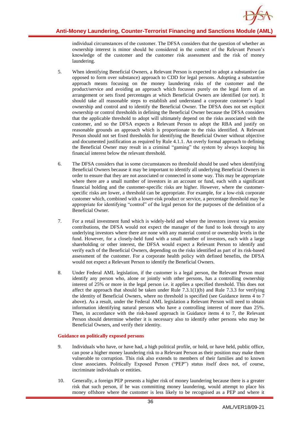

individual circumstances of the customer. The DFSA considers that the question of whether an ownership interest is minor should be considered in the context of the Relevant Person's knowledge of the customer and the customer risk assessment and the risk of money laundering.

- 5. When identifying Beneficial Owners, a Relevant Person is expected to adopt a substantive (as opposed to form over substance) approach to CDD for legal persons. Adopting a substantive approach means focusing on the money laundering risks of the customer and the product/service and avoiding an approach which focusses purely on the legal form of an arrangement or sets fixed percentages at which Beneficial Owners are identified (or not). It should take all reasonable steps to establish and understand a corporate customer's legal ownership and control and to identify the Beneficial Owner. The DFSA does not set explicit ownership or control thresholds in defining the Beneficial Owner because the DFSA considers that the applicable threshold to adopt will ultimately depend on the risks associated with the customer, and so the DFSA expects a Relevant Person to adopt the RBA and justify on reasonable grounds an approach which is proportionate to the risks identified. A Relevant Person should not set fixed thresholds for identifying the Beneficial Owner without objective and documented justification as required by Rule 4.1.1. An overly formal approach to defining the Beneficial Owner may result in a criminal "gaming" the system by always keeping his financial interest below the relevant threshold.
- 6. The DFSA considers that in some circumstances no threshold should be used when identifying Beneficial Owners because it may be important to identify all underlying Beneficial Owners in order to ensure that they are not associated or connected in some way. This may be appropriate where there are a small number of investors in an account or fund, each with a significant financial holding and the customer-specific risks are higher. However, where the customerspecific risks are lower, a threshold can be appropriate. For example, for a low-risk corporate customer which, combined with a lower-risk product or service, a percentage threshold may be appropriate for identifying "control" of the legal person for the purposes of the definition of a Beneficial Owner.
- 7. For a retail investment fund which is widely-held and where the investors invest via pension contributions, the DFSA would not expect the manager of the fund to look through to any underlying investors where there are none with any material control or ownership levels in the fund. However, for a closely-held fund with a small number of investors, each with a large shareholding or other interest, the DFSA would expect a Relevant Person to identify and verify each of the Beneficial Owners, depending on the risks identified as part of its risk-based assessment of the customer. For a corporate health policy with defined benefits, the DFSA would not expect a Relevant Person to identify the Beneficial Owners.
- 8. Under Federal AML legislation, if the customer is a legal person, the Relevant Person must identify any person who, alone or jointly with other persons, has a controlling ownership interest of 25% or more in the legal person i.e. it applies a specified threshold. This does not affect the approach that should be taken under Rule  $7.3.1(1)(b)$  and Rule  $7.3.3$  for verifying the identity of Beneficial Owners, where no threshold is specified (see Guidance items 4 to 7 above). As a result, under the Federal AML legislation a Relevant Person will need to obtain information identifying natural persons who have a controlling interest of more than 25%. Then, in accordance with the risk-based approach in Guidance items 4 to 7, the Relevant Person should determine whether it is necessary also to identify other persons who may be Beneficial Owners, and verify their identity.

#### **Guidance on politically exposed persons**

- 9. Individuals who have, or have had, a high political profile, or hold, or have held, public office, can pose a higher money laundering risk to a Relevant Person as their position may make them vulnerable to corruption. This risk also extends to members of their families and to known close associates. Politically Exposed Person ("PEP") status itself does not, of course, incriminate individuals or entities.
- 10. Generally, a foreign PEP presents a higher risk of money laundering because there is a greater risk that such person, if he was committing money laundering, would attempt to place his money offshore where the customer is less likely to be recognised as a PEP and where it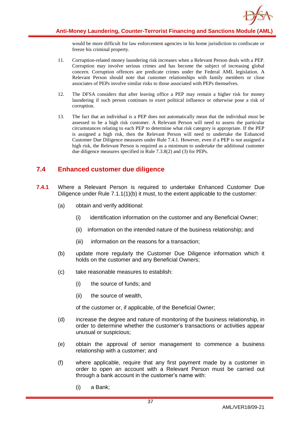

would be more difficult for law enforcement agencies in his home jurisdiction to confiscate or freeze his criminal property.

- 11. Corruption-related money laundering risk increases when a Relevant Person deals with a PEP. Corruption may involve serious crimes and has become the subject of increasing global concern. Corruption offences are predicate crimes under the Federal AML legislation. A Relevant Person should note that customer relationships with family members or close associates of PEPs involve similar risks to those associated with PEPs themselves.
- 12. The DFSA considers that after leaving office a PEP may remain a higher risk for money laundering if such person continues to exert political influence or otherwise pose a risk of corruption.
- 13. The fact that an individual is a PEP does not automatically mean that the individual must be assessed to be a high risk customer. A Relevant Person will need to assess the particular circumstances relating to each PEP to determine what risk category is appropriate. If the PEP is assigned a high risk, then the Relevant Person will need to undertake the Enhanced Customer Due Diligence measures under Rule 7.4.1. However, even if a PEP is not assigned a high risk, the Relevant Person is required as a minimum to undertake the additional customer due diligence measures specified in Rule 7.3.8(2) and (3) for PEPs.

# **7.4 Enhanced customer due diligence**

- **7.4.1** Where a Relevant Person is required to undertake Enhanced Customer Due Diligence under Rule 7.1.1(1)(b) it must, to the extent applicable to the customer:
	- (a) obtain and verify additional:
		- (i) identification information on the customer and any Beneficial Owner;
		- (ii) information on the intended nature of the business relationship; and
		- (iii) information on the reasons for a transaction;
	- (b) update more regularly the Customer Due Diligence information which it holds on the customer and any Beneficial Owners;
	- (c) take reasonable measures to establish:
		- (i) the source of funds; and
		- (ii) the source of wealth,

of the customer or, if applicable, of the Beneficial Owner;

- (d) increase the degree and nature of monitoring of the business relationship, in order to determine whether the customer's transactions or activities appear unusual or suspicious;
- (e) obtain the approval of senior management to commence a business relationship with a customer; and
- (f) where applicable, require that any first payment made by a customer in order to open an account with a Relevant Person must be carried out through a bank account in the customer's name with:
	- (i) a Bank;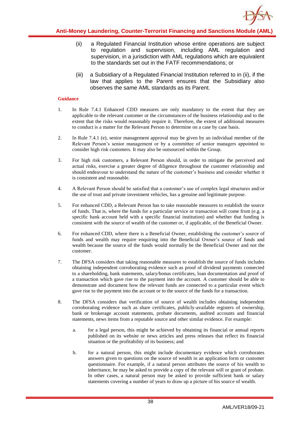

- (ii) a Regulated Financial Institution whose entire operations are subject to regulation and supervision, including AML regulation and supervision, in a jurisdiction with AML regulations which are equivalent to the standards set out in the FATF recommendations; or
- (iii) a Subsidiary of a Regulated Financial Institution referred to in (ii), if the law that applies to the Parent ensures that the Subsidiary also observes the same AML standards as its Parent.

- 1. In Rule 7.4.1 Enhanced CDD measures are only mandatory to the extent that they are applicable to the relevant customer or the circumstances of the business relationship and to the extent that the risks would reasonably require it. Therefore, the extent of additional measures to conduct is a matter for the Relevant Person to determine on a case by case basis.
- 2. In Rule 7.4.1 (e), senior management approval may be given by an individual member of the Relevant Person's senior management or by a committee of senior managers appointed to consider high risk customers. It may also be outsourced within the Group.
- 3. For high risk customers, a Relevant Person should, in order to mitigate the perceived and actual risks, exercise a greater degree of diligence throughout the customer relationship and should endeavour to understand the nature of the customer's business and consider whether it is consistent and reasonable.
- 4. A Relevant Person should be satisfied that a customer's use of complex legal structures and/or the use of trust and private investment vehicles, has a genuine and legitimate purpose.
- 5. For enhanced CDD, a Relevant Person has to take reasonable measures to establish the source of funds. That is, where the funds for a particular service or transaction will come from (e.g. a specific bank account held with a specific financial institution) and whether that funding is consistent with the source of wealth of the customer or, if applicable, of the Beneficial Owner.
- 6. For enhanced CDD, where there is a Beneficial Owner, establishing the customer's source of funds and wealth may require enquiring into the Beneficial Owner's source of funds and wealth because the source of the funds would normally be the Beneficial Owner and not the customer.
- 7. The DFSA considers that taking reasonable measures to establish the source of funds includes obtaining independent corroborating evidence such as proof of dividend payments connected to a shareholding, bank statements, salary/bonus certificates, loan documentation and proof of a transaction which gave rise to the payment into the account. A customer should be able to demonstrate and document how the relevant funds are connected to a particular event which gave rise to the payment into the account or to the source of the funds for a transaction.
- 8. The DFSA considers that verification of source of wealth includes obtaining independent corroborating evidence such as share certificates, publicly-available registers of ownership, bank or brokerage account statements, probate documents, audited accounts and financial statements, news items from a reputable source and other similar evidence. For example:
	- a. for a legal person, this might be achieved by obtaining its financial or annual reports published on its website or news articles and press releases that reflect its financial situation or the profitability of its business; and
	- b. for a natural person, this might include documentary evidence which corroborates answers given to questions on the source of wealth in an application form or customer questionnaire. For example, if a natural person attributes the source of his wealth to inheritance, he may be asked to provide a copy of the relevant will or grant of probate. In other cases, a natural person may be asked to provide sufficient bank or salary statements covering a number of years to draw up a picture of his source of wealth.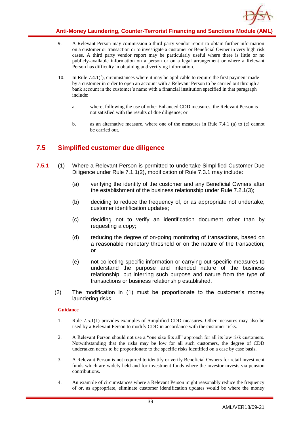

- 9. A Relevant Person may commission a third party vendor report to obtain further information on a customer or transaction or to investigate a customer or Beneficial Owner in very high risk cases. A third party vendor report may be particularly useful where there is little or no publicly-available information on a person or on a legal arrangement or where a Relevant Person has difficulty in obtaining and verifying information.
- 10. In Rule 7.4.1(f), circumstances where it may be applicable to require the first payment made by a customer in order to open an account with a Relevant Person to be carried out through a bank account in the customer's name with a financial institution specified in that paragraph include:
	- a. where, following the use of other Enhanced CDD measures, the Relevant Person is not satisfied with the results of due diligence; or
	- b. as an alternative measure, where one of the measures in Rule 7.4.1 (a) to (e) cannot be carried out.

# **7.5 Simplified customer due diligence**

- **7.5.1** (1) Where a Relevant Person is permitted to undertake Simplified Customer Due Diligence under Rule 7.1.1(2), modification of Rule 7.3.1 may include:
	- (a) verifying the identity of the customer and any Beneficial Owners after the establishment of the business relationship under Rule 7.2.1(3);
	- (b) deciding to reduce the frequency of, or as appropriate not undertake, customer identification updates;
	- (c) deciding not to verify an identification document other than by requesting a copy;
	- (d) reducing the degree of on-going monitoring of transactions, based on a reasonable monetary threshold or on the nature of the transaction; or
	- (e) not collecting specific information or carrying out specific measures to understand the purpose and intended nature of the business relationship, but inferring such purpose and nature from the type of transactions or business relationship established.
	- (2) The modification in (1) must be proportionate to the customer's money laundering risks.

- 1. Rule 7.5.1(1) provides examples of Simplified CDD measures. Other measures may also be used by a Relevant Person to modify CDD in accordance with the customer risks.
- 2. A Relevant Person should not use a "one size fits all" approach for all its low risk customers. Notwithstanding that the risks may be low for all such customers, the degree of CDD undertaken needs to be proportionate to the specific risks identified on a case by case basis.
- 3. A Relevant Person is not required to identify or verify Beneficial Owners for retail investment funds which are widely held and for investment funds where the investor invests via pension contributions.
- 4. An example of circumstances where a Relevant Person might reasonably reduce the frequency of or, as appropriate, eliminate customer identification updates would be where the money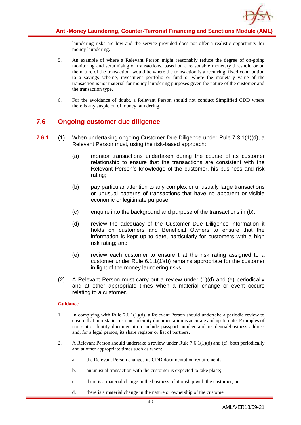

laundering risks are low and the service provided does not offer a realistic opportunity for money laundering.

- 5. An example of where a Relevant Person might reasonably reduce the degree of on-going monitoring and scrutinising of transactions, based on a reasonable monetary threshold or on the nature of the transaction, would be where the transaction is a recurring, fixed contribution to a savings scheme, investment portfolio or fund or where the monetary value of the transaction is not material for money laundering purposes given the nature of the customer and the transaction type.
- 6. For the avoidance of doubt, a Relevant Person should not conduct Simplified CDD where there is any suspicion of money laundering.

# **7.6 Ongoing customer due diligence**

- **7.6.1** (1) When undertaking ongoing Customer Due Diligence under Rule 7.3.1(1)(d), a Relevant Person must, using the risk-based approach:
	- (a) monitor transactions undertaken during the course of its customer relationship to ensure that the transactions are consistent with the Relevant Person's knowledge of the customer, his business and risk rating;
	- (b) pay particular attention to any complex or unusually large transactions or unusual patterns of transactions that have no apparent or visible economic or legitimate purpose;
	- (c) enquire into the background and purpose of the transactions in (b);
	- (d) review the adequacy of the Customer Due Diligence information it holds on customers and Beneficial Owners to ensure that the information is kept up to date, particularly for customers with a high risk rating; and
	- (e) review each customer to ensure that the risk rating assigned to a customer under Rule 6.1.1(1)(b) remains appropriate for the customer in light of the money laundering risks.
	- (2) A Relevant Person must carry out a review under (1)(d) and (e) periodically and at other appropriate times when a material change or event occurs relating to a customer.

- 1. In complying with Rule 7.6.1(1)(d), a Relevant Person should undertake a periodic review to ensure that non-static customer identity documentation is accurate and up-to-date. Examples of non-static identity documentation include passport number and residential/business address and, for a legal person, its share register or list of partners.
- 2. A Relevant Person should undertake a review under Rule 7.6.1(1)(d) and (e), both periodically and at other appropriate times such as when:
	- a. the Relevant Person changes its CDD documentation requirements;
	- b. an unusual transaction with the customer is expected to take place;
	- c. there is a material change in the business relationship with the customer; or
	- d. there is a material change in the nature or ownership of the customer.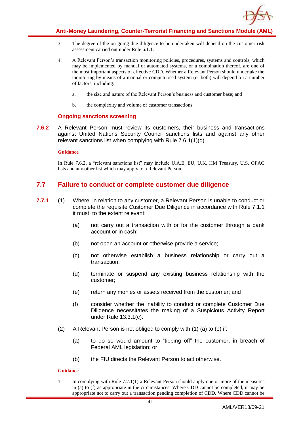

- 3. The degree of the on-going due diligence to be undertaken will depend on the customer risk assessment carried out under Rule 6.1.1.
- 4. A Relevant Person's transaction monitoring policies, procedures, systems and controls, which may be implemented by manual or automated systems, or a combination thereof, are one of the most important aspects of effective CDD. Whether a Relevant Person should undertake the monitoring by means of a manual or computerised system (or both) will depend on a number of factors, including:
	- a. the size and nature of the Relevant Person's business and customer base; and
	- b. the complexity and volume of customer transactions.

### **Ongoing sanctions screening**

**7.6.2** A Relevant Person must review its customers, their business and transactions against United Nations Security Council sanctions lists and against any other relevant sanctions list when complying with Rule 7.6.1(1)(d).

### **Guidance**

In Rule 7.6.2, a "relevant sanctions list" may include U.A.E, EU, U.K. HM Treasury, U.S. OFAC lists and any other list which may apply to a Relevant Person.

## **7.7 Failure to conduct or complete customer due diligence**

- **7.7.1** (1) Where, in relation to any customer, a Relevant Person is unable to conduct or complete the requisite Customer Due Diligence in accordance with Rule 7.1.1 it must, to the extent relevant:
	- (a) not carry out a transaction with or for the customer through a bank account or in cash;
	- (b) not open an account or otherwise provide a service;
	- (c) not otherwise establish a business relationship or carry out a transaction;
	- (d) terminate or suspend any existing business relationship with the customer;
	- (e) return any monies or assets received from the customer; and
	- (f) consider whether the inability to conduct or complete Customer Due Diligence necessitates the making of a Suspicious Activity Report under Rule 13.3.1(c).
	- (2) A Relevant Person is not obliged to comply with (1) (a) to (e) if:
		- (a) to do so would amount to "tipping off" the customer, in breach of Federal AML legislation; or
		- (b) the FIU directs the Relevant Person to act otherwise.

### **Guidance**

1. In complying with Rule 7.7.1(1) a Relevant Person should apply one or more of the measures in (a) to (f) as appropriate in the circumstances. Where CDD cannot be completed, it may be appropriate not to carry out a transaction pending completion of CDD. Where CDD cannot be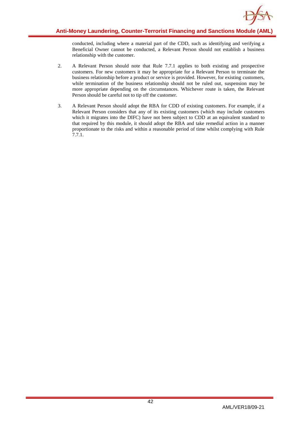

conducted, including where a material part of the CDD, such as identifying and verifying a Beneficial Owner cannot be conducted, a Relevant Person should not establish a business relationship with the customer.

- 2. A Relevant Person should note that Rule 7.7.1 applies to both existing and prospective customers. For new customers it may be appropriate for a Relevant Person to terminate the business relationship before a product or service is provided. However, for existing customers, while termination of the business relationship should not be ruled out, suspension may be more appropriate depending on the circumstances. Whichever route is taken, the Relevant Person should be careful not to tip off the customer.
- 3. A Relevant Person should adopt the RBA for CDD of existing customers. For example, if a Relevant Person considers that any of its existing customers (which may include customers which it migrates into the DIFC) have not been subject to CDD at an equivalent standard to that required by this module, it should adopt the RBA and take remedial action in a manner proportionate to the risks and within a reasonable period of time whilst complying with Rule 7.7.1.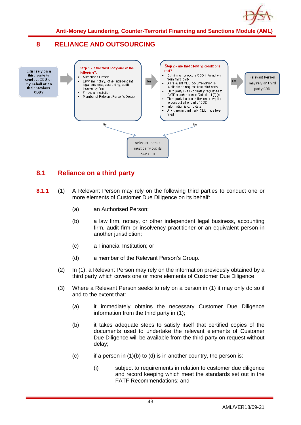

# **8 RELIANCE AND OUTSOURCING**



# **8.1 Reliance on a third party**

- **8.1.1** (1) A Relevant Person may rely on the following third parties to conduct one or more elements of Customer Due Diligence on its behalf:
	- (a) an Authorised Person;
	- (b) a law firm, notary, or other independent legal business, accounting firm, audit firm or insolvency practitioner or an equivalent person in another jurisdiction;
	- (c) a Financial Institution; or
	- (d) a member of the Relevant Person's Group.
	- (2) In (1), a Relevant Person may rely on the information previously obtained by a third party which covers one or more elements of Customer Due Diligence.
	- (3) Where a Relevant Person seeks to rely on a person in (1) it may only do so if and to the extent that:
		- (a) it immediately obtains the necessary Customer Due Diligence information from the third party in (1);
		- (b) it takes adequate steps to satisfy itself that certified copies of the documents used to undertake the relevant elements of Customer Due Diligence will be available from the third party on request without delay;
		- (c) if a person in (1)(b) to (d) is in another country, the person is:
			- (i) subject to requirements in relation to customer due diligence and record keeping which meet the standards set out in the FATF Recommendations; and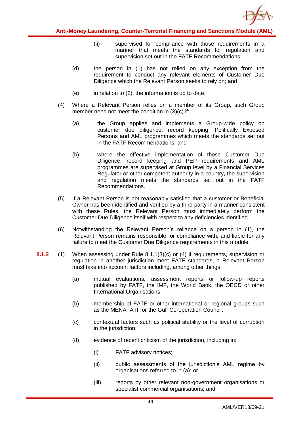

- (ii) supervised for compliance with those requirements in a manner that meets the standards for regulation and supervision set out in the FATF Recommendations;
- (d) the person in (1) has not relied on any exception from the requirement to conduct any relevant elements of Customer Due Diligence which the Relevant Person seeks to rely on; and
- $(e)$  in relation to  $(2)$ , the information is up to date.
- (4) Where a Relevant Person relies on a member of its Group, such Group member need not meet the condition in (3)(c) if:
	- (a) the Group applies and implements a Group-wide policy on customer due diligence, record keeping, Politically Exposed Persons and AML programmes which meets the standards set out in the FATF Recommendations; and
	- (b) where the effective implementation of those Customer Due Diligence, record keeping and PEP requirements and AML programmes are supervised at Group level by a Financial Services Regulator or other competent authority in a country, the supervision and regulation meets the standards set out in the FATF Recommendations.
- (5) If a Relevant Person is not reasonably satisfied that a customer or Beneficial Owner has been identified and verified by a third party in a manner consistent with these Rules, the Relevant Person must immediately perform the Customer Due Diligence itself with respect to any deficiencies identified.
- (6) Notwithstanding the Relevant Person's reliance on a person in (1), the Relevant Person remains responsible for compliance with, and liable for any failure to meet the Customer Due Diligence requirements in this module.
- **8.1.2** (1) When assessing under Rule 8.1.1(3)(c) or (4) if requirements, supervision or regulation in another jurisdiction meet FATF standards, a Relevant Person must take into account factors including, among other things:
	- (a) mutual evaluations, assessment reports or follow-up reports published by FATF, the IMF, the World Bank, the OECD or other International Organisations;
	- (b) membership of FATF or other international or regional groups such as the MENAFATF or the Gulf Co-operation Council;
	- (c) contextual factors such as political stability or the level of corruption in the jurisdiction;
	- (d) evidence of recent criticism of the jurisdiction, including in:
		- (i) FATF advisory notices;
		- (ii) public assessments of the jurisdiction's AML regime by organisations referred to in (a); or
		- (iii) reports by other relevant non-government organisations or specialist commercial organisations; and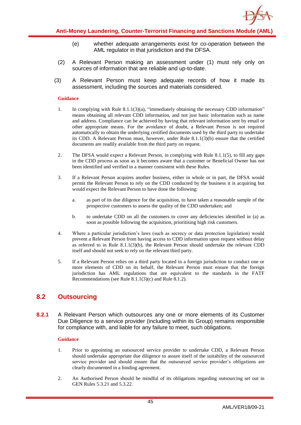

- (e) whether adequate arrangements exist for co-operation between the AML regulator in that jurisdiction and the DFSA.
- (2) A Relevant Person making an assessment under (1) must rely only on sources of information that are reliable and up-to-date.
- (3) A Relevant Person must keep adequate records of how it made its assessment, including the sources and materials considered.

- 1. In complying with Rule 8.1.1(3)(a), "immediately obtaining the necessary CDD information" means obtaining all relevant CDD information, and not just basic information such as name and address. Compliance can be achieved by having that relevant information sent by email or other appropriate means. For the avoidance of doubt, a Relevant Person is not required automatically to obtain the underlying certified documents used by the third party to undertake its CDD. A Relevant Person must, however, under Rule 8.1.1(3)(b) ensure that the certified documents are readily available from the third party on request.
- 2. The DFSA would expect a Relevant Person, in complying with Rule 8.1.1(5), to fill any gaps in the CDD process as soon as it becomes aware that a customer or Beneficial Owner has not been identified and verified in a manner consistent with these Rules.
- 3. If a Relevant Person acquires another business, either in whole or in part, the DFSA would permit the Relevant Person to rely on the CDD conducted by the business it is acquiring but would expect the Relevant Person to have done the following:
	- a. as part of its due diligence for the acquisition, to have taken a reasonable sample of the prospective customers to assess the quality of the CDD undertaken; and
	- b. to undertake CDD on all the customers to cover any deficiencies identified in (a) as soon as possible following the acquisition, prioritising high risk customers.
- 4. Where a particular jurisdiction's laws (such as secrecy or data protection legislation) would prevent a Relevant Person from having access to CDD information upon request without delay as referred to in Rule 8.1.1(3)(b), the Relevant Person should undertake the relevant CDD itself and should not seek to rely on the relevant third party.
- 5. If a Relevant Person relies on a third party located in a foreign jurisdiction to conduct one or more elements of CDD on its behalf, the Relevant Person must ensure that the foreign jurisdiction has AML regulations that are equivalent to the standards in the FATF Recommendations (see Rule 8.1.1(3)(c) and Rule 8.1.2).

## **8.2 Outsourcing**

**8.2.1** A Relevant Person which outsources any one or more elements of its Customer Due Diligence to a service provider (including within its Group) remains responsible for compliance with, and liable for any failure to meet, such obligations.

- 1. Prior to appointing an outsourced service provider to undertake CDD, a Relevant Person should undertake appropriate due diligence to assure itself of the suitability of the outsourced service provider and should ensure that the outsourced service provider's obligations are clearly documented in a binding agreement.
- 2. An Authorised Person should be mindful of its obligations regarding outsourcing set out in GEN Rules 5.3.21 and 5.3.22.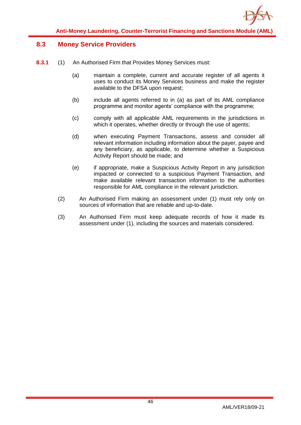

## **8.3 Money Service Providers**

- **8.3.1** (1) An Authorised Firm that Provides Money Services must:
	- (a) maintain a complete, current and accurate register of all agents it uses to conduct its Money Services business and make the register available to the DFSA upon request;
	- (b) include all agents referred to in (a) as part of its AML compliance programme and monitor agents' compliance with the programme;
	- (c) comply with all applicable AML requirements in the jurisdictions in which it operates, whether directly or through the use of agents;
	- (d) when executing Payment Transactions, assess and consider all relevant information including information about the payer, payee and any beneficiary, as applicable, to determine whether a Suspicious Activity Report should be made; and
	- (e) if appropriate, make a Suspicious Activity Report in any jurisdiction impacted or connected to a suspicious Payment Transaction, and make available relevant transaction information to the authorities responsible for AML compliance in the relevant jurisdiction.
	- (2) An Authorised Firm making an assessment under (1) must rely only on sources of information that are reliable and up-to-date.
	- (3) An Authorised Firm must keep adequate records of how it made its assessment under (1), including the sources and materials considered.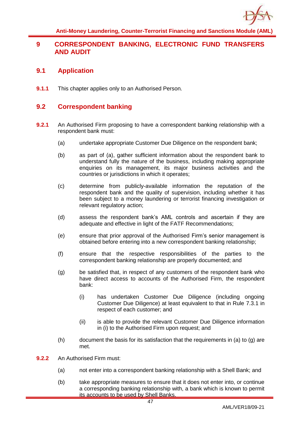

## **9 CORRESPONDENT BANKING, ELECTRONIC FUND TRANSFERS AND AUDIT**

### **9.1 Application**

**9.1.1** This chapter applies only to an Authorised Person.

### **9.2 Correspondent banking**

- **9.2.1** An Authorised Firm proposing to have a correspondent banking relationship with a respondent bank must:
	- (a) undertake appropriate Customer Due Diligence on the respondent bank;
	- (b) as part of (a), gather sufficient information about the respondent bank to understand fully the nature of the business, including making appropriate enquiries on its management, its major business activities and the countries or jurisdictions in which it operates:
	- (c) determine from publicly-available information the reputation of the respondent bank and the quality of supervision, including whether it has been subject to a money laundering or terrorist financing investigation or relevant regulatory action;
	- (d) assess the respondent bank's AML controls and ascertain if they are adequate and effective in light of the FATF Recommendations;
	- (e) ensure that prior approval of the Authorised Firm's senior management is obtained before entering into a new correspondent banking relationship;
	- (f) ensure that the respective responsibilities of the parties to the correspondent banking relationship are properly documented; and
	- (g) be satisfied that, in respect of any customers of the respondent bank who have direct access to accounts of the Authorised Firm, the respondent bank:
		- (i) has undertaken Customer Due Diligence (including ongoing Customer Due Diligence) at least equivalent to that in Rule 7.3.1 in respect of each customer; and
		- (ii) is able to provide the relevant Customer Due Diligence information in (i) to the Authorised Firm upon request; and
	- $(h)$  document the basis for its satisfaction that the requirements in (a) to (g) are met.
- **9.2.2** An Authorised Firm must:
	- (a) not enter into a correspondent banking relationship with a Shell Bank; and
	- (b) take appropriate measures to ensure that it does not enter into, or continue a corresponding banking relationship with, a bank which is known to permit its accounts to be used by Shell Banks.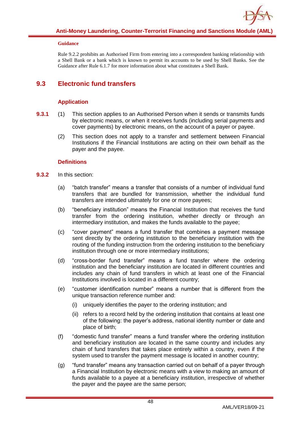

Rule 9.2.2 prohibits an Authorised Firm from entering into a correspondent banking relationship with a Shell Bank or a bank which is known to permit its accounts to be used by Shell Banks. See the Guidance after Rule 6.1.7 for more information about what constitutes a Shell Bank.

## **9.3 Electronic fund transfers**

### **Application**

- **9.3.1** (1) This section applies to an Authorised Person when it sends or transmits funds by electronic means, or when it receives funds (including serial payments and cover payments) by electronic means, on the account of a payer or payee.
	- (2) This section does not apply to a transfer and settlement between Financial Institutions if the Financial Institutions are acting on their own behalf as the payer and the payee.

### **Definitions**

- **9.3.2** In this section:
	- (a) "batch transfer" means a transfer that consists of a number of individual fund transfers that are bundled for transmission, whether the individual fund transfers are intended ultimately for one or more payees;
	- (b) "beneficiary institution" means the Financial Institution that receives the fund transfer from the ordering institution, whether directly or through an intermediary institution, and makes the funds available to the payee;
	- (c) "cover payment" means a fund transfer that combines a payment message sent directly by the ordering institution to the beneficiary institution with the routing of the funding instruction from the ordering institution to the beneficiary institution through one or more intermediary institutions;
	- (d) "cross-border fund transfer" means a fund transfer where the ordering institution and the beneficiary institution are located in different countries and includes any chain of fund transfers in which at least one of the Financial Institutions involved is located in a different country;
	- (e) "customer identification number" means a number that is different from the unique transaction reference number and:
		- (i) uniquely identifies the payer to the ordering institution; and
		- (ii) refers to a record held by the ordering institution that contains at least one of the following: the payer's address, national identity number or date and place of birth;
	- (f) "domestic fund transfer" means a fund transfer where the ordering institution and beneficiary institution are located in the same country and includes any chain of fund transfers that takes place entirely within a country, even if the system used to transfer the payment message is located in another country;
	- (g) "fund transfer" means any transaction carried out on behalf of a payer through a Financial Institution by electronic means with a view to making an amount of funds available to a payee at a beneficiary institution, irrespective of whether the payer and the payee are the same person;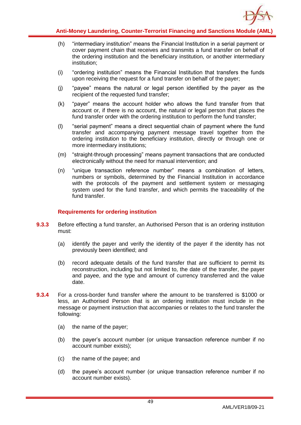

- (h) "intermediary institution" means the Financial Institution in a serial payment or cover payment chain that receives and transmits a fund transfer on behalf of the ordering institution and the beneficiary institution, or another intermediary institution;
- (i) "ordering institution" means the Financial Institution that transfers the funds upon receiving the request for a fund transfer on behalf of the payer;
- (j) "payee" means the natural or legal person identified by the payer as the recipient of the requested fund transfer;
- (k) "payer" means the account holder who allows the fund transfer from that account or, if there is no account, the natural or legal person that places the fund transfer order with the ordering institution to perform the fund transfer;
- (l) "serial payment" means a direct sequential chain of payment where the fund transfer and accompanying payment message travel together from the ordering institution to the beneficiary institution, directly or through one or more intermediary institutions;
- (m) "straight-through processing" means payment transactions that are conducted electronically without the need for manual intervention; and
- (n) "unique transaction reference number" means a combination of letters, numbers or symbols, determined by the Financial Institution in accordance with the protocols of the payment and settlement system or messaging system used for the fund transfer, and which permits the traceability of the fund transfer.

### **Requirements for ordering institution**

- **9.3.3** Before effecting a fund transfer, an Authorised Person that is an ordering institution must:
	- (a) identify the payer and verify the identity of the payer if the identity has not previously been identified; and
	- (b) record adequate details of the fund transfer that are sufficient to permit its reconstruction, including but not limited to, the date of the transfer, the payer and payee, and the type and amount of currency transferred and the value date.
- **9.3.4** For a cross-border fund transfer where the amount to be transferred is \$1000 or less, an Authorised Person that is an ordering institution must include in the message or payment instruction that accompanies or relates to the fund transfer the following:
	- (a) the name of the payer;
	- (b) the payer's account number (or unique transaction reference number if no account number exists);
	- (c) the name of the payee; and
	- (d) the payee's account number (or unique transaction reference number if no account number exists).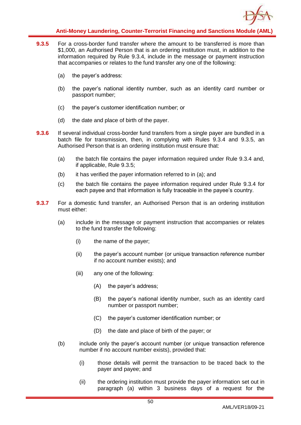

- **9.3.5** For a cross-border fund transfer where the amount to be transferred is more than \$1,000, an Authorised Person that is an ordering institution must, in addition to the information required by Rule 9.3.4, include in the message or payment instruction that accompanies or relates to the fund transfer any one of the following:
	- (a) the payer's address:
	- (b) the payer's national identity number, such as an identity card number or passport number;
	- (c) the payer's customer identification number; or
	- (d) the date and place of birth of the payer.
- **9.3.6** If several individual cross-border fund transfers from a single payer are bundled in a batch file for transmission, then, in complying with Rules 9.3.4 and 9.3.5, an Authorised Person that is an ordering institution must ensure that:
	- (a) the batch file contains the payer information required under Rule 9.3.4 and, if applicable, Rule 9.3.5;
	- (b) it has verified the payer information referred to in (a); and
	- (c) the batch file contains the payee information required under Rule 9.3.4 for each payee and that information is fully traceable in the payee's country.
- **9.3.7** For a domestic fund transfer, an Authorised Person that is an ordering institution must either:
	- (a) include in the message or payment instruction that accompanies or relates to the fund transfer the following:
		- (i) the name of the payer;
		- (ii) the payer's account number (or unique transaction reference number if no account number exists); and
		- (iii) any one of the following:
			- (A) the payer's address;
			- (B) the payer's national identity number, such as an identity card number or passport number;
			- (C) the payer's customer identification number; or
			- (D) the date and place of birth of the payer; or
	- (b) include only the payer's account number (or unique transaction reference number if no account number exists), provided that:
		- (i) those details will permit the transaction to be traced back to the payer and payee; and
		- (ii) the ordering institution must provide the payer information set out in paragraph (a) within 3 business days of a request for the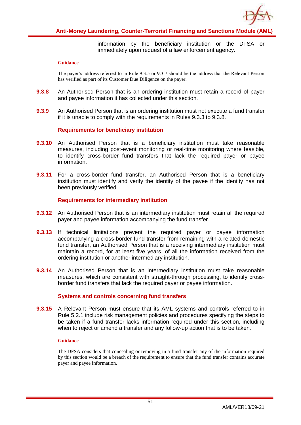

information by the beneficiary institution or the DFSA or immediately upon request of a law enforcement agency.

#### **Guidance**

The payer's address referred to in Rule 9.3.5 or 9.3.7 should be the address that the Relevant Person has verified as part of its Customer Due Diligence on the payer.

- **9.3.8** An Authorised Person that is an ordering institution must retain a record of payer and payee information it has collected under this section.
- **9.3.9** An Authorised Person that is an ordering institution must not execute a fund transfer if it is unable to comply with the requirements in Rules 9.3.3 to 9.3.8.

### **Requirements for beneficiary institution**

- **9.3.10** An Authorised Person that is a beneficiary institution must take reasonable measures, including post-event monitoring or real-time monitoring where feasible, to identify cross-border fund transfers that lack the required payer or payee information.
- **9.3.11** For a cross-border fund transfer, an Authorised Person that is a beneficiary institution must identify and verify the identity of the payee if the identity has not been previously verified.

### **Requirements for intermediary institution**

- **9.3.12** An Authorised Person that is an intermediary institution must retain all the required payer and payee information accompanying the fund transfer.
- **9.3.13** If technical limitations prevent the required payer or payee information accompanying a cross-border fund transfer from remaining with a related domestic fund transfer, an Authorised Person that is a receiving intermediary institution must maintain a record, for at least five years, of all the information received from the ordering institution or another intermediary institution.
- **9.3.14** An Authorised Person that is an intermediary institution must take reasonable measures, which are consistent with straight-through processing, to identify crossborder fund transfers that lack the required payer or payee information.

### **Systems and controls concerning fund transfers**

**9.3.15** A Relevant Person must ensure that its AML systems and controls referred to in Rule 5.2.1 include risk management policies and procedures specifying the steps to be taken if a fund transfer lacks information required under this section, including when to reject or amend a transfer and any follow-up action that is to be taken.

#### **Guidance**

The DFSA considers that concealing or removing in a fund transfer any of the information required by this section would be a breach of the requirement to ensure that the fund transfer contains accurate payer and payee information.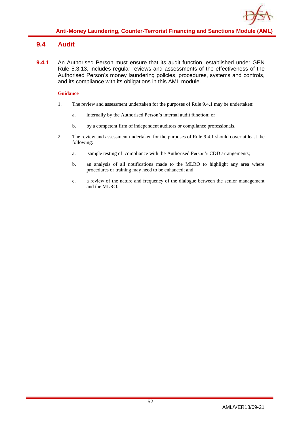## **9.4 Audit**

**9.4.1** An Authorised Person must ensure that its audit function, established under GEN Rule 5.3.13, includes regular reviews and assessments of the effectiveness of the Authorised Person's money laundering policies, procedures, systems and controls, and its compliance with its obligations in this AML module.

- 1. The review and assessment undertaken for the purposes of Rule 9.4.1 may be undertaken:
	- a. internally by the Authorised Person's internal audit function; or
	- b. by a competent firm of independent auditors or compliance professionals.
- 2. The review and assessment undertaken for the purposes of Rule 9.4.1 should cover at least the following:
	- a. sample testing of compliance with the Authorised Person's CDD arrangements;
	- b. an analysis of all notifications made to the MLRO to highlight any area where procedures or training may need to be enhanced; and
	- c. a review of the nature and frequency of the dialogue between the senior management and the MLRO.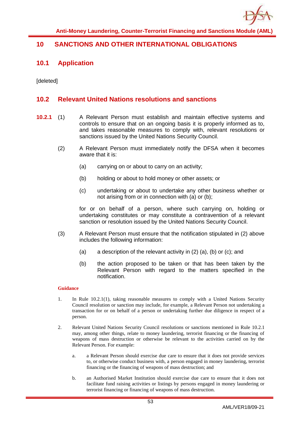

## **10 SANCTIONS AND OTHER INTERNATIONAL OBLIGATIONS**

### **10.1 Application**

[deleted]

### **10.2 Relevant United Nations resolutions and sanctions**

- **10.2.1** (1) A Relevant Person must establish and maintain effective systems and controls to ensure that on an ongoing basis it is properly informed as to, and takes reasonable measures to comply with, relevant resolutions or sanctions issued by the United Nations Security Council.
	- (2) A Relevant Person must immediately notify the DFSA when it becomes aware that it is:
		- (a) carrying on or about to carry on an activity;
		- (b) holding or about to hold money or other assets; or
		- (c) undertaking or about to undertake any other business whether or not arising from or in connection with (a) or (b);

for or on behalf of a person, where such carrying on, holding or undertaking constitutes or may constitute a contravention of a relevant sanction or resolution issued by the United Nations Security Council.

- (3) A Relevant Person must ensure that the notification stipulated in (2) above includes the following information:
	- (a) a description of the relevant activity in  $(2)$   $(a)$ ,  $(b)$  or  $(c)$ ; and
	- (b) the action proposed to be taken or that has been taken by the Relevant Person with regard to the matters specified in the notification.

- 1. In Rule 10.2.1(1), taking reasonable measures to comply with a United Nations Security Council resolution or sanction may include, for example, a Relevant Person not undertaking a transaction for or on behalf of a person or undertaking further due diligence in respect of a person.
- 2. Relevant United Nations Security Council resolutions or sanctions mentioned in Rule 10.2.1 may, among other things, relate to money laundering, terrorist financing or the financing of weapons of mass destruction or otherwise be relevant to the activities carried on by the Relevant Person. For example:
	- a. a Relevant Person should exercise due care to ensure that it does not provide services to, or otherwise conduct business with, a person engaged in money laundering, terrorist financing or the financing of weapons of mass destruction; and
	- b. an Authorised Market Institution should exercise due care to ensure that it does not facilitate fund raising activities or listings by persons engaged in money laundering or terrorist financing or financing of weapons of mass destruction.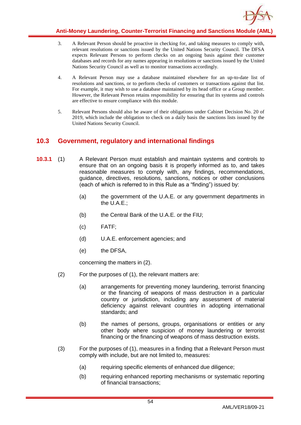

- 3. A Relevant Person should be proactive in checking for, and taking measures to comply with, relevant resolutions or sanctions issued by the United Nations Security Council. The DFSA expects Relevant Persons to perform checks on an ongoing basis against their customer databases and records for any names appearing in resolutions or sanctions issued by the United Nations Security Council as well as to monitor transactions accordingly.
- 4. A Relevant Person may use a database maintained elsewhere for an up-to-date list of resolutions and sanctions, or to perform checks of customers or transactions against that list. For example, it may wish to use a database maintained by its head office or a Group member. However, the Relevant Person retains responsibility for ensuring that its systems and controls are effective to ensure compliance with this module.
- 5. Relevant Persons should also be aware of their obligations under Cabinet Decision No. 20 of 2019, which include the obligation to check on a daily basis the sanctions lists issued by the United Nations Security Council.

# **10.3 Government, regulatory and international findings**

- **10.3.1** (1) A Relevant Person must establish and maintain systems and controls to ensure that on an ongoing basis it is properly informed as to, and takes reasonable measures to comply with, any findings, recommendations, guidance, directives, resolutions, sanctions, notices or other conclusions (each of which is referred to in this Rule as a "finding") issued by:
	- (a) the government of the U.A.E. or any government departments in the U.A.E.;
	- (b) the Central Bank of the U.A.E. or the FIU;
	- (c) FATF;
	- (d) U.A.E. enforcement agencies; and
	- (e) the DFSA,

concerning the matters in (2).

- (2) For the purposes of (1), the relevant matters are:
	- (a) arrangements for preventing money laundering, terrorist financing or the financing of weapons of mass destruction in a particular country or jurisdiction, including any assessment of material deficiency against relevant countries in adopting international standards; and
	- (b) the names of persons, groups, organisations or entities or any other body where suspicion of money laundering or terrorist financing or the financing of weapons of mass destruction exists.
- (3) For the purposes of (1), measures in a finding that a Relevant Person must comply with include, but are not limited to, measures:
	- (a) requiring specific elements of enhanced due diligence;
	- (b) requiring enhanced reporting mechanisms or systematic reporting of financial transactions;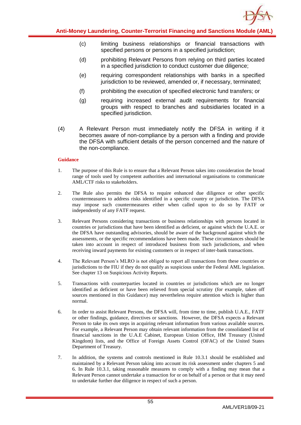

- (c) limiting business relationships or financial transactions with specified persons or persons in a specified jurisdiction;
- (d) prohibiting Relevant Persons from relying on third parties located in a specified jurisdiction to conduct customer due diligence;
- (e) requiring correspondent relationships with banks in a specified jurisdiction to be reviewed, amended or, if necessary, terminated;
- (f) prohibiting the execution of specified electronic fund transfers; or
- (g) requiring increased external audit requirements for financial groups with respect to branches and subsidiaries located in a specified jurisdiction.
- (4) A Relevant Person must immediately notify the DFSA in writing if it becomes aware of non-compliance by a person with a finding and provide the DFSA with sufficient details of the person concerned and the nature of the non-compliance.

- 1. The purpose of this Rule is to ensure that a Relevant Person takes into consideration the broad range of tools used by competent authorities and international organisations to communicate AML/CTF risks to stakeholders.
- 2. The Rule also permits the DFSA to require enhanced due diligence or other specific countermeasures to address risks identified in a specific country or jurisdiction. The DFSA may impose such countermeasures either when called upon to do so by FATF or independently of any FATF request.
- 3. Relevant Persons considering transactions or business relationships with persons located in countries or jurisdictions that have been identified as deficient, or against which the U.A.E. or the DFSA have outstanding advisories, should be aware of the background against which the assessments, or the specific recommendations have been made. These circumstances should be taken into account in respect of introduced business from such jurisdictions, and when receiving inward payments for existing customers or in respect of inter-bank transactions.
- 4. The Relevant Person's MLRO is not obliged to report all transactions from these countries or jurisdictions to the FIU if they do not qualify as suspicious under the Federal AML legislation. See chapter 13 on Suspicious Activity Reports.
- 5. Transactions with counterparties located in countries or jurisdictions which are no longer identified as deficient or have been relieved from special scrutiny (for example, taken off sources mentioned in this Guidance) may nevertheless require attention which is higher than normal.
- 6. In order to assist Relevant Persons, the DFSA will, from time to time, publish U.A.E., FATF or other findings, guidance, directives or sanctions. However, the DFSA expects a Relevant Person to take its own steps in acquiring relevant information from various available sources. For example, a Relevant Person may obtain relevant information from the consolidated list of financial sanctions in the U.A.E Cabinet, European Union Office, HM Treasury (United Kingdom) lists, and the Office of Foreign Assets Control (OFAC) of the United States Department of Treasury.
- 7. In addition, the systems and controls mentioned in Rule 10.3.1 should be established and maintained by a Relevant Person taking into account its risk assessment under chapters 5 and 6. In Rule 10.3.1, taking reasonable measures to comply with a finding may mean that a Relevant Person cannot undertake a transaction for or on behalf of a person or that it may need to undertake further due diligence in respect of such a person.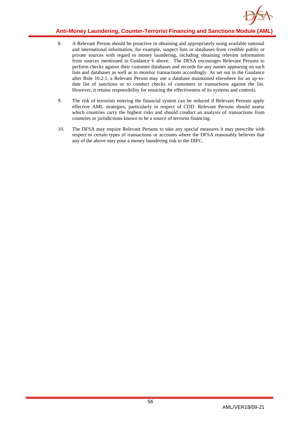

### **Anti-Money Laundering, Counter-Terrorist Financing and Sanctions Module (AML)**

- 8. A Relevant Person should be proactive in obtaining and appropriately using available national and international information, for example, suspect lists or databases from credible public or private sources with regard to money laundering, including obtaining relevant information from sources mentioned in Guidance 6 above. The DFSA encourages Relevant Persons to perform checks against their customer databases and records for any names appearing on such lists and databases as well as to monitor transactions accordingly. As set out in the Guidance after Rule 10.2.1, a Relevant Person may use a database maintained elsewhere for an up-todate list of sanctions or to conduct checks of customers or transactions against the list. However, it retains responsibility for ensuring the effectiveness of its systems and controls.
- 9. The risk of terrorists entering the financial system can be reduced if Relevant Persons apply effective AML strategies, particularly in respect of CDD. Relevant Persons should assess which countries carry the highest risks and should conduct an analysis of transactions from countries or jurisdictions known to be a source of terrorist financing.
- 10. The DFSA may require Relevant Persons to take any special measures it may prescribe with respect to certain types of transactions or accounts where the DFSA reasonably believes that any of the above may pose a money laundering risk to the DIFC.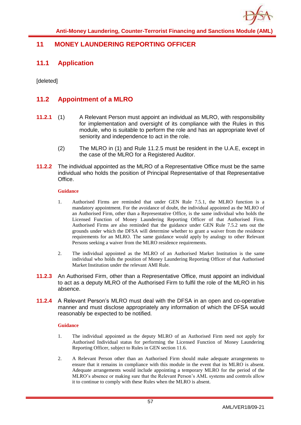

# **11 MONEY LAUNDERING REPORTING OFFICER**

## **11.1 Application**

[deleted]

# **11.2 Appointment of a MLRO**

- **11.2.1** (1) A Relevant Person must appoint an individual as MLRO, with responsibility for implementation and oversight of its compliance with the Rules in this module, who is suitable to perform the role and has an appropriate level of seniority and independence to act in the role.
	- (2) The MLRO in (1) and Rule 11.2.5 must be resident in the U.A.E, except in the case of the MLRO for a Registered Auditor.
- **11.2.2** The individual appointed as the MLRO of a Representative Office must be the same individual who holds the position of Principal Representative of that Representative Office.

### **Guidance**

- 1. Authorised Firms are reminded that under GEN Rule 7.5.1, the MLRO function is a mandatory appointment. For the avoidance of doubt, the individual appointed as the MLRO of an Authorised Firm, other than a Representative Office, is the same individual who holds the Licensed Function of Money Laundering Reporting Officer of that Authorised Firm. Authorised Firms are also reminded that the guidance under GEN Rule 7.5.2 sets out the grounds under which the DFSA will determine whether to grant a waiver from the residence requirements for an MLRO. The same guidance would apply by analogy to other Relevant Persons seeking a waiver from the MLRO residence requirements.
- 2. The individual appointed as the MLRO of an Authorised Market Institution is the same individual who holds the position of Money Laundering Reporting Officer of that Authorised Market Institution under the relevant AMI Rule.
- **11.2.3** An Authorised Firm, other than a Representative Office, must appoint an individual to act as a deputy MLRO of the Authorised Firm to fulfil the role of the MLRO in his absence.
- **11.2.4** A Relevant Person's MLRO must deal with the DFSA in an open and co-operative manner and must disclose appropriately any information of which the DFSA would reasonably be expected to be notified.

- 1. The individual appointed as the deputy MLRO of an Authorised Firm need not apply for Authorised Individual status for performing the Licensed Function of Money Laundering Reporting Officer, subject to Rules in GEN section 11.6.
- 2. A Relevant Person other than an Authorised Firm should make adequate arrangements to ensure that it remains in compliance with this module in the event that its MLRO is absent. Adequate arrangements would include appointing a temporary MLRO for the period of the MLRO's absence or making sure that the Relevant Person's AML systems and controls allow it to continue to comply with these Rules when the MLRO is absent.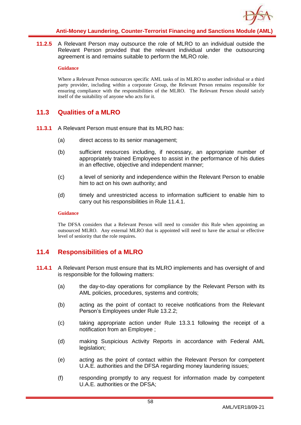

**11.2.5** A Relevant Person may outsource the role of MLRO to an individual outside the Relevant Person provided that the relevant individual under the outsourcing agreement is and remains suitable to perform the MLRO role.

#### **Guidance**

Where a Relevant Person outsources specific AML tasks of its MLRO to another individual or a third party provider, including within a corporate Group, the Relevant Person remains responsible for ensuring compliance with the responsibilities of the MLRO. The Relevant Person should satisfy itself of the suitability of anyone who acts for it.

## **11.3 Qualities of a MLRO**

- **11.3.1** A Relevant Person must ensure that its MLRO has:
	- (a) direct access to its senior management;
	- (b) sufficient resources including, if necessary, an appropriate number of appropriately trained Employees to assist in the performance of his duties in an effective, objective and independent manner;
	- (c) a level of seniority and independence within the Relevant Person to enable him to act on his own authority; and
	- (d) timely and unrestricted access to information sufficient to enable him to carry out his responsibilities in Rule 11.4.1.

### **Guidance**

The DFSA considers that a Relevant Person will need to consider this Rule when appointing an outsourced MLRO. Any external MLRO that is appointed will need to have the actual or effective level of seniority that the role requires.

# **11.4 Responsibilities of a MLRO**

- **11.4.1** A Relevant Person must ensure that its MLRO implements and has oversight of and is responsible for the following matters:
	- (a) the day-to-day operations for compliance by the Relevant Person with its AML policies, procedures, systems and controls;
	- (b) acting as the point of contact to receive notifications from the Relevant Person's Employees under Rule 13.2.2;
	- (c) taking appropriate action under Rule 13.3.1 following the receipt of a notification from an Employee ;
	- (d) making Suspicious Activity Reports in accordance with Federal AML legislation;
	- (e) acting as the point of contact within the Relevant Person for competent U.A.E. authorities and the DFSA regarding money laundering issues;
	- (f) responding promptly to any request for information made by competent U.A.E. authorities or the DFSA;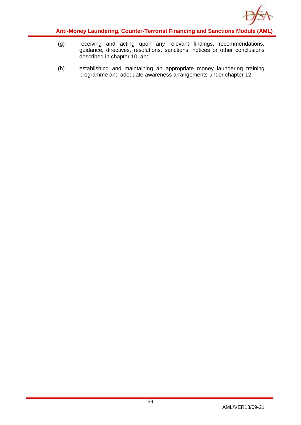

- (g) receiving and acting upon any relevant findings, recommendations, guidance, directives, resolutions, sanctions, notices or other conclusions described in chapter 10; and
- (h) establishing and maintaining an appropriate money laundering training programme and adequate awareness arrangements under chapter 12.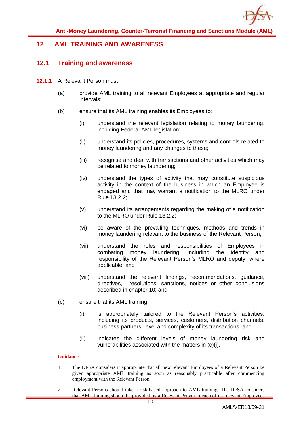

# **12 AML TRAINING AND AWARENESS**

### **12.1 Training and awareness**

- **12.1.1** A Relevant Person must
	- (a) provide AML training to all relevant Employees at appropriate and regular intervals;
	- (b) ensure that its AML training enables its Employees to:
		- (i) understand the relevant legislation relating to money laundering, including Federal AML legislation;
		- (ii) understand its policies, procedures, systems and controls related to money laundering and any changes to these;
		- (iii) recognise and deal with transactions and other activities which may be related to money laundering;
		- (iv) understand the types of activity that may constitute suspicious activity in the context of the business in which an Employee is engaged and that may warrant a notification to the MLRO under Rule 13.2.2;
		- (v) understand its arrangements regarding the making of a notification to the MLRO under Rule 13.2.2;
		- (vi) be aware of the prevailing techniques, methods and trends in money laundering relevant to the business of the Relevant Person;
		- (vii) understand the roles and responsibilities of Employees in combating money laundering, including the identity and responsibility of the Relevant Person's MLRO and deputy, where applicable; and
		- (viii) understand the relevant findings, recommendations, guidance, directives, resolutions, sanctions, notices or other conclusions described in chapter 10; and
	- (c) ensure that its AML training:
		- (i) is appropriately tailored to the Relevant Person's activities, including its products, services, customers, distribution channels, business partners, level and complexity of its transactions; and
		- (ii) indicates the different levels of money laundering risk and vulnerabilities associated with the matters in (c)(i).

- 1. The DFSA considers it appropriate that all new relevant Employees of a Relevant Person be given appropriate AML training as soon as reasonably practicable after commencing employment with the Relevant Person.
- 2. Relevant Persons should take a risk-based approach to AML training. The DFSA considers that AML training should be provided by a Relevant Person to each of its relevant Employees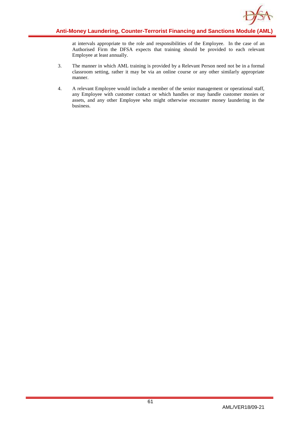

at intervals appropriate to the role and responsibilities of the Employee. In the case of an Authorised Firm the DFSA expects that training should be provided to each relevant Employee at least annually.

- 3. The manner in which AML training is provided by a Relevant Person need not be in a formal classroom setting, rather it may be via an online course or any other similarly appropriate manner.
- 4. A relevant Employee would include a member of the senior management or operational staff, any Employee with customer contact or which handles or may handle customer monies or assets, and any other Employee who might otherwise encounter money laundering in the business.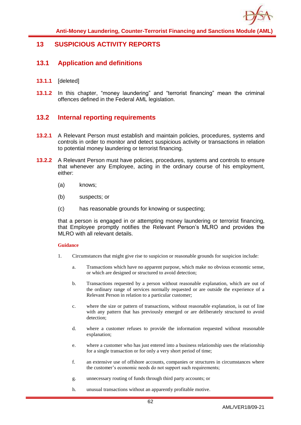

## **13 SUSPICIOUS ACTIVITY REPORTS**

### **13.1 Application and definitions**

- **13.1.1** [deleted]
- **13.1.2** In this chapter, "money laundering" and "terrorist financing" mean the criminal offences defined in the Federal AML legislation.

## **13.2 Internal reporting requirements**

- **13.2.1** A Relevant Person must establish and maintain policies, procedures, systems and controls in order to monitor and detect suspicious activity or transactions in relation to potential money laundering or terrorist financing.
- **13.2.2** A Relevant Person must have policies, procedures, systems and controls to ensure that whenever any Employee, acting in the ordinary course of his employment, either:
	- (a) knows;
	- (b) suspects; or
	- (c) has reasonable grounds for knowing or suspecting;

that a person is engaged in or attempting money laundering or terrorist financing, that Employee promptly notifies the Relevant Person's MLRO and provides the MLRO with all relevant details.

- 1. Circumstances that might give rise to suspicion or reasonable grounds for suspicion include:
	- a. Transactions which have no apparent purpose, which make no obvious economic sense, or which are designed or structured to avoid detection;
	- b. Transactions requested by a person without reasonable explanation, which are out of the ordinary range of services normally requested or are outside the experience of a Relevant Person in relation to a particular customer;
	- c. where the size or pattern of transactions, without reasonable explanation, is out of line with any pattern that has previously emerged or are deliberately structured to avoid detection;
	- d. where a customer refuses to provide the information requested without reasonable explanation;
	- e. where a customer who has just entered into a business relationship uses the relationship for a single transaction or for only a very short period of time;
	- f. an extensive use of offshore accounts, companies or structures in circumstances where the customer's economic needs do not support such requirements;
	- g. unnecessary routing of funds through third party accounts; or
	- h. unusual transactions without an apparently profitable motive.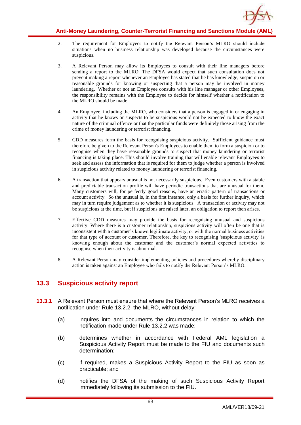

- 2. The requirement for Employees to notify the Relevant Person's MLRO should include situations when no business relationship was developed because the circumstances were suspicious.
- 3. A Relevant Person may allow its Employees to consult with their line managers before sending a report to the MLRO. The DFSA would expect that such consultation does not prevent making a report whenever an Employee has stated that he has knowledge, suspicion or reasonable grounds for knowing or suspecting that a person may be involved in money laundering. Whether or not an Employee consults with his line manager or other Employees, the responsibility remains with the Employee to decide for himself whether a notification to the MLRO should be made.
- 4. An Employee, including the MLRO, who considers that a person is engaged in or engaging in activity that he knows or suspects to be suspicious would not be expected to know the exact nature of the criminal offence or that the particular funds were definitely those arising from the crime of money laundering or terrorist financing.
- 5. CDD measures form the basis for recognising suspicious activity. Sufficient guidance must therefore be given to the Relevant Person's Employees to enable them to form a suspicion or to recognise when they have reasonable grounds to suspect that money laundering or terrorist financing is taking place. This should involve training that will enable relevant Employees to seek and assess the information that is required for them to judge whether a person is involved in suspicious activity related to money laundering or terrorist financing.
- 6. A transaction that appears unusual is not necessarily suspicious. Even customers with a stable and predictable transaction profile will have periodic transactions that are unusual for them. Many customers will, for perfectly good reasons, have an erratic pattern of transactions or account activity. So the unusual is, in the first instance, only a basis for further inquiry, which may in turn require judgement as to whether it is suspicious. A transaction or activity may not be suspicious at the time, but if suspicions are raised later, an obligation to report then arises.
- 7. Effective CDD measures may provide the basis for recognising unusual and suspicious activity. Where there is a customer relationship, suspicious activity will often be one that is inconsistent with a customer's known legitimate activity, or with the normal business activities for that type of account or customer. Therefore, the key to recognising 'suspicious activity' is knowing enough about the customer and the customer's normal expected activities to recognise when their activity is abnormal.
- 8. A Relevant Person may consider implementing policies and procedures whereby disciplinary action is taken against an Employee who fails to notify the Relevant Person's MLRO.

# **13.3 Suspicious activity report**

- **13.3.1** A Relevant Person must ensure that where the Relevant Person's MLRO receives a notification under Rule 13.2.2, the MLRO, without delay:
	- (a) inquires into and documents the circumstances in relation to which the notification made under Rule 13.2.2 was made;
	- (b) determines whether in accordance with Federal AML legislation a Suspicious Activity Report must be made to the FIU and documents such determination;
	- (c) if required, makes a Suspicious Activity Report to the FIU as soon as practicable; and
	- (d) notifies the DFSA of the making of such Suspicious Activity Report immediately following its submission to the FIU.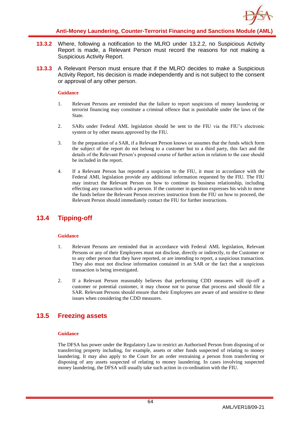

- **13.3.2** Where, following a notification to the MLRO under 13.2.2, no Suspicious Activity Report is made, a Relevant Person must record the reasons for not making a Suspicious Activity Report.
- **13.3.3** A Relevant Person must ensure that if the MLRO decides to make a Suspicious Activity Report, his decision is made independently and is not subject to the consent or approval of any other person.

- 1. Relevant Persons are reminded that the failure to report suspicions of money laundering or terrorist financing may constitute a criminal offence that is punishable under the laws of the State.
- 2. SARs under Federal AML legislation should be sent to the FIU via the FIU's electronic system or by other means approved by the FIU.
- 3. In the preparation of a SAR, if a Relevant Person knows or assumes that the funds which form the subject of the report do not belong to a customer but to a third party, this fact and the details of the Relevant Person's proposed course of further action in relation to the case should be included in the report.
- 4. If a Relevant Person has reported a suspicion to the FIU, it must in accordance with the Federal AML legislation provide any additional information requested by the FIU. The FIU may instruct the Relevant Person on how to continue its business relationship, including effecting any transaction with a person. If the customer in question expresses his wish to move the funds before the Relevant Person receives instruction from the FIU on how to proceed, the Relevant Person should immediately contact the FIU for further instructions.

# **13.4 Tipping-off**

### **Guidance**

- 1. Relevant Persons are reminded that in accordance with Federal AML legislation, Relevant Persons or any of their Employees must not disclose, directly or indirectly, to the Customer or to any other person that they have reported, or are intending to report, a suspicious transaction. They also must not disclose information contained in an SAR or the fact that a suspicious transaction is being investigated.
- 2. If a Relevant Person reasonably believes that performing CDD measures will tip-off a customer or potential customer, it may choose not to pursue that process and should file a SAR. Relevant Persons should ensure that their Employees are aware of and sensitive to these issues when considering the CDD measures.

# **13.5 Freezing assets**

#### **Guidance**

The DFSA has power under the Regulatory Law to restrict an Authorised Person from disposing of or transferring property including, for example, assets or other funds suspected of relating to money laundering. It may also apply to the Court for an order restraining a person from transferring or disposing of any assets suspected of relating to money laundering. In cases involving suspected money laundering, the DFSA will usually take such action in co-ordination with the FIU.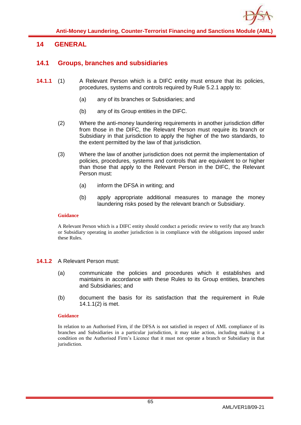

# **14 GENERAL**

## **14.1 Groups, branches and subsidiaries**

- **14.1.1** (1) A Relevant Person which is a DIFC entity must ensure that its policies, procedures, systems and controls required by Rule 5.2.1 apply to:
	- (a) any of its branches or Subsidiaries; and
	- (b) any of its Group entities in the DIFC.
	- (2) Where the anti-money laundering requirements in another jurisdiction differ from those in the DIFC, the Relevant Person must require its branch or Subsidiary in that jurisdiction to apply the higher of the two standards, to the extent permitted by the law of that jurisdiction.
	- (3) Where the law of another jurisdiction does not permit the implementation of policies, procedures, systems and controls that are equivalent to or higher than those that apply to the Relevant Person in the DIFC, the Relevant Person must:
		- (a) inform the DFSA in writing; and
		- (b) apply appropriate additional measures to manage the money laundering risks posed by the relevant branch or Subsidiary.

### **Guidance**

A Relevant Person which is a DIFC entity should conduct a periodic review to verify that any branch or Subsidiary operating in another jurisdiction is in compliance with the obligations imposed under these Rules.

### **14.1.2** A Relevant Person must:

- (a) communicate the policies and procedures which it establishes and maintains in accordance with these Rules to its Group entities, branches and Subsidiaries; and
- (b) document the basis for its satisfaction that the requirement in Rule 14.1.1(2) is met.

### **Guidance**

In relation to an Authorised Firm, if the DFSA is not satisfied in respect of AML compliance of its branches and Subsidiaries in a particular jurisdiction, it may take action, including making it a condition on the Authorised Firm's Licence that it must not operate a branch or Subsidiary in that jurisdiction.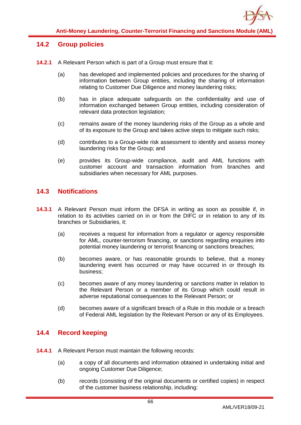

## **14.2 Group policies**

- **14.2.1** A Relevant Person which is part of a Group must ensure that it:
	- (a) has developed and implemented policies and procedures for the sharing of information between Group entities, including the sharing of information relating to Customer Due Diligence and money laundering risks;
	- (b) has in place adequate safeguards on the confidentiality and use of information exchanged between Group entities, including consideration of relevant data protection legislation;
	- (c) remains aware of the money laundering risks of the Group as a whole and of its exposure to the Group and takes active steps to mitigate such risks;
	- (d) contributes to a Group-wide risk assessment to identify and assess money laundering risks for the Group; and
	- (e) provides its Group-wide compliance, audit and AML functions with customer account and transaction information from branches and subsidiaries when necessary for AML purposes.

## **14.3 Notifications**

- **14.3.1** A Relevant Person must inform the DFSA in writing as soon as possible if, in relation to its activities carried on in or from the DIFC or in relation to any of its branches or Subsidiaries, it:
	- (a) receives a request for information from a regulator or agency responsible for AML, counter-terrorism financing, or sanctions regarding enquiries into potential money laundering or terrorist financing or sanctions breaches;
	- (b) becomes aware, or has reasonable grounds to believe, that a money laundering event has occurred or may have occurred in or through its business;
	- (c) becomes aware of any money laundering or sanctions matter in relation to the Relevant Person or a member of its Group which could result in adverse reputational consequences to the Relevant Person; or
	- (d) becomes aware of a significant breach of a Rule in this module or a breach of Federal AML legislation by the Relevant Person or any of its Employees.

## **14.4 Record keeping**

- **14.4.1** A Relevant Person must maintain the following records:
	- (a) a copy of all documents and information obtained in undertaking initial and ongoing Customer Due Diligence;
	- (b) records (consisting of the original documents or certified copies) in respect of the customer business relationship, including: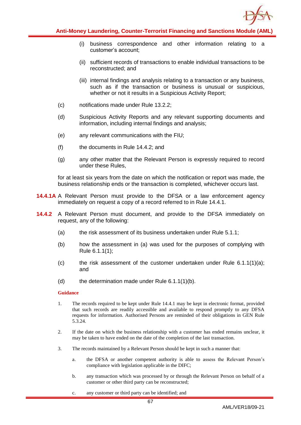

- (i) business correspondence and other information relating to a customer's account;
- (ii) sufficient records of transactions to enable individual transactions to be reconstructed; and
- (iii) internal findings and analysis relating to a transaction or any business, such as if the transaction or business is unusual or suspicious, whether or not it results in a Suspicious Activity Report:
- (c) notifications made under Rule 13.2.2;
- (d) Suspicious Activity Reports and any relevant supporting documents and information, including internal findings and analysis;
- (e) any relevant communications with the FIU;
- (f) the documents in Rule 14.4.2; and
- (g) any other matter that the Relevant Person is expressly required to record under these Rules,

for at least six years from the date on which the notification or report was made, the business relationship ends or the transaction is completed, whichever occurs last.

- **14.4.1A** A Relevant Person must provide to the DFSA or a law enforcement agency immediately on request a copy of a record referred to in Rule 14.4.1.
- **14.4.2** A Relevant Person must document, and provide to the DFSA immediately on request, any of the following:
	- (a) the risk assessment of its business undertaken under Rule 5.1.1;
	- (b) how the assessment in (a) was used for the purposes of complying with Rule 6.1.1(1);
	- (c) the risk assessment of the customer undertaken under Rule 6.1.1(1)(a); and
	- (d) the determination made under Rule  $6.1.1(1)(b)$ .

- 1. The records required to be kept under Rule 14.4.1 may be kept in electronic format, provided that such records are readily accessible and available to respond promptly to any DFSA requests for information. Authorised Persons are reminded of their obligations in GEN Rule 5.3.24.
- 2. If the date on which the business relationship with a customer has ended remains unclear, it may be taken to have ended on the date of the completion of the last transaction.
- 3. The records maintained by a Relevant Person should be kept in such a manner that:
	- a. the DFSA or another competent authority is able to assess the Relevant Person's compliance with legislation applicable in the DIFC;
	- b. any transaction which was processed by or through the Relevant Person on behalf of a customer or other third party can be reconstructed;
	- c. any customer or third party can be identified; and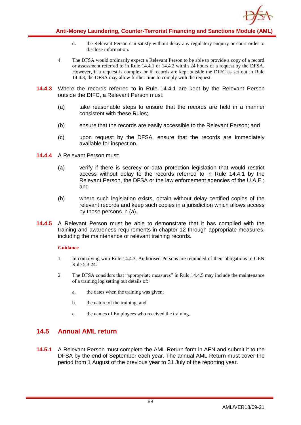

- d. the Relevant Person can satisfy without delay any regulatory enquiry or court order to disclose information.
- 4. The DFSA would ordinarily expect a Relevant Person to be able to provide a copy of a record or assessment referred to in Rule 14.4.1 or 14.4.2 within 24 hours of a request by the DFSA. However, if a request is complex or if records are kept outside the DIFC as set out in Rule 14.4.3, the DFSA may allow further time to comply with the request.
- **14.4.3** Where the records referred to in Rule 14.4.1 are kept by the Relevant Person outside the DIFC, a Relevant Person must:
	- (a) take reasonable steps to ensure that the records are held in a manner consistent with these Rules;
	- (b) ensure that the records are easily accessible to the Relevant Person; and
	- (c) upon request by the DFSA, ensure that the records are immediately available for inspection.
- **14.4.4** A Relevant Person must:
	- (a) verify if there is secrecy or data protection legislation that would restrict access without delay to the records referred to in Rule 14.4.1 by the Relevant Person, the DFSA or the law enforcement agencies of the U.A.E.; and
	- (b) where such legislation exists, obtain without delay certified copies of the relevant records and keep such copies in a jurisdiction which allows access by those persons in (a).
- **14.4.5** A Relevant Person must be able to demonstrate that it has complied with the training and awareness requirements in chapter 12 through appropriate measures, including the maintenance of relevant training records.

- 1. In complying with Rule 14.4.3, Authorised Persons are reminded of their obligations in GEN Rule 5.3.24.
- 2. The DFSA considers that "appropriate measures" in Rule 14.4.5 may include the maintenance of a training log setting out details of:
	- a. the dates when the training was given;
	- b. the nature of the training; and
	- c. the names of Employees who received the training.

# **14.5 Annual AML return**

**14.5.1** A Relevant Person must complete the AML Return form in AFN and submit it to the DFSA by the end of September each year. The annual AML Return must cover the period from 1 August of the previous year to 31 July of the reporting year.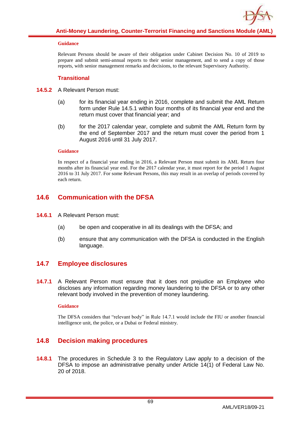Relevant Persons should be aware of their obligation under Cabinet Decision No. 10 of 2019 to prepare and submit semi-annual reports to their senior management, and to send a copy of those reports, with senior management remarks and decisions, to the relevant Supervisory Authority.

### **Transitional**

- **14.5.2** A Relevant Person must:
	- (a) for its financial year ending in 2016, complete and submit the AML Return form under Rule 14.5.1 within four months of its financial year end and the return must cover that financial year; and
	- (b) for the 2017 calendar year, complete and submit the AML Return form by the end of September 2017 and the return must cover the period from 1 August 2016 until 31 July 2017.

### **Guidance**

In respect of a financial year ending in 2016, a Relevant Person must submit its AML Return four months after its financial year end. For the 2017 calendar year, it must report for the period 1 August 2016 to 31 July 2017. For some Relevant Persons, this may result in an overlap of periods covered by each return.

# **14.6 Communication with the DFSA**

- **14.6.1** A Relevant Person must:
	- (a) be open and cooperative in all its dealings with the DFSA; and
	- (b) ensure that any communication with the DFSA is conducted in the English language.

# **14.7 Employee disclosures**

**14.7.1** A Relevant Person must ensure that it does not prejudice an Employee who discloses any information regarding money laundering to the DFSA or to any other relevant body involved in the prevention of money laundering.

### **Guidance**

The DFSA considers that "relevant body" in Rule 14.7.1 would include the FIU or another financial intelligence unit, the police, or a Dubai or Federal ministry.

# **14.8 Decision making procedures**

**14.8.1** The procedures in Schedule 3 to the Regulatory Law apply to a decision of the DFSA to impose an administrative penalty under Article 14(1) of Federal Law No. 20 of 2018.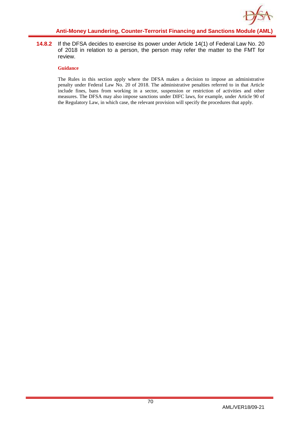

**14.8.2** If the DFSA decides to exercise its power under Article 14(1) of Federal Law No. 20 of 2018 in relation to a person, the person may refer the matter to the FMT for review.

#### **Guidance**

The Rules in this section apply where the DFSA makes a decision to impose an administrative penalty under Federal Law No. 20 of 2018. The administrative penalties referred to in that Article include fines, bans from working in a sector, suspension or restriction of activities and other measures. The DFSA may also impose sanctions under DIFC laws, for example, under Article 90 of the Regulatory Law, in which case, the relevant provision will specify the procedures that apply.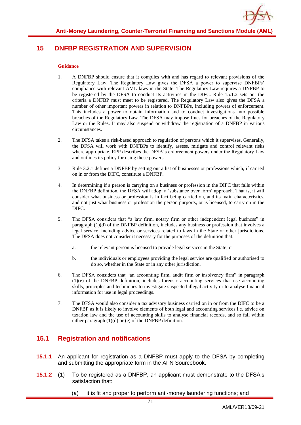# **15 DNFBP REGISTRATION AND SUPERVISION**

#### **Guidance**

- 1. A DNFBP should ensure that it complies with and has regard to relevant provisions of the Regulatory Law. The Regulatory Law gives the DFSA a power to supervise DNFBPs' compliance with relevant AML laws in the State. The Regulatory Law requires a DNFBP to be registered by the DFSA to conduct its activities in the DIFC. Rule 15.1.2 sets out the criteria a DNFBP must meet to be registered. The Regulatory Law also gives the DFSA a number of other important powers in relation to DNFBPs, including powers of enforcement. This includes a power to obtain information and to conduct investigations into possible breaches of the Regulatory Law. The DFSA may impose fines for breaches of the Regulatory Law or the Rules. It may also suspend or withdraw the registration of a DNFBP in various circumstances.
- 2. The DFSA takes a risk-based approach to regulation of persons which it supervises. Generally, the DFSA will work with DNFBPs to identify, assess, mitigate and control relevant risks where appropriate. RPP describes the DFSA's enforcement powers under the Regulatory Law and outlines its policy for using these powers.
- 3. Rule 3.2.1 defines a DNFBP by setting out a list of businesses or professions which, if carried on in or from the DIFC, constitute a DNFBP.
- 4. In determining if a person is carrying on a business or profession in the DIFC that falls within the DNFBP definition, the DFSA will adopt a 'substance over form' approach. That is, it will consider what business or profession is in fact being carried on, and its main characteristics, and not just what business or profession the person purports, or is licensed, to carry on in the DIFC.
- 5. The DFSA considers that "a law firm, notary firm or other independent legal business" in paragraph (1)(d) of the DNFBP definition, includes any business or profession that involves a legal service, including advice or services related to laws in the State or other jurisdictions. The DFSA does not consider it necessary for the purposes of the definition that:
	- a. the relevant person is licensed to provide legal services in the State; or
	- b. the individuals or employees providing the legal service are qualified or authorised to do so, whether in the State or in any other jurisdiction.
- 6. The DFSA considers that "an accounting firm, audit firm or insolvency firm" in paragraph (1)(e) of the DNFBP definition, includes forensic accounting services that use accounting skills, principles and techniques to investigate suspected illegal activity or to analyse financial information for use in legal proceedings.
- 7. The DFSA would also consider a tax advisory business carried on in or from the DIFC to be a DNFBP as it is likely to involve elements of both legal and accounting services i.e. advice on taxation law and the use of accounting skills to analyse financial records, and so fall within either paragraph (1)(d) or (e) of the DNFBP definition.

## **15.1 Registration and notifications**

- **15.1.1** An applicant for registration as a DNFBP must apply to the DFSA by completing and submitting the appropriate form in the AFN Sourcebook.
- **15.1.2** (1) To be registered as a DNFBP, an applicant must demonstrate to the DFSA's satisfaction that:
	- (a) it is fit and proper to perform anti-money laundering functions; and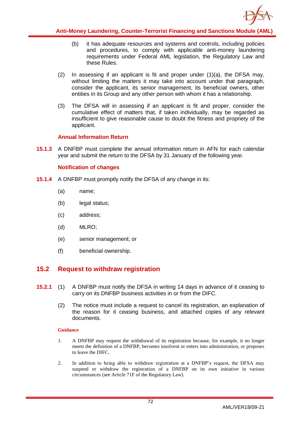

- (b) it has adequate resources and systems and controls, including policies and procedures, to comply with applicable anti-money laundering requirements under Federal AML legislation, the Regulatory Law and these Rules.
- $(2)$  In assessing if an applicant is fit and proper under  $(1)(a)$ , the DFSA may, without limiting the matters it may take into account under that paragraph, consider the applicant, its senior management, its beneficial owners, other entities in its Group and any other person with whom it has a relationship.
- (3) The DFSA will in assessing if an applicant is fit and proper, consider the cumulative effect of matters that, if taken individually, may be regarded as insufficient to give reasonable cause to doubt the fitness and propriety of the applicant.

### **Annual Information Return**

**15.1.3** A DNFBP must complete the annual information return in AFN for each calendar year and submit the return to the DFSA by 31 January of the following year.

### **Notification of changes**

- **15.1.4** A DNFBP must promptly notify the DFSA of any change in its:
	- (a) name;
	- (b) legal status;
	- (c) address;
	- (d) MLRO;
	- (e) senior management; or
	- (f) beneficial ownership.

# **15.2 Request to withdraw registration**

- **15.2.1** (1) A DNFBP must notify the DFSA in writing 14 days in advance of it ceasing to carry on its DNFBP business activities in or from the DIFC.
	- (2) The notice must include a request to cancel its registration, an explanation of the reason for it ceasing business, and attached copies of any relevant documents.

#### **Guidance**

- 1. A DNFBP may request the withdrawal of its registration because, for example, it no longer meets the definition of a DNFBP, becomes insolvent or enters into administration, or proposes to leave the DIFC.
- 2. In addition to being able to withdraw registration at a DNFBP's request, the DFSA may suspend or withdraw the registration of a DNFBP on its own initiative in various circumstances (see Article 71F of the Regulatory Law).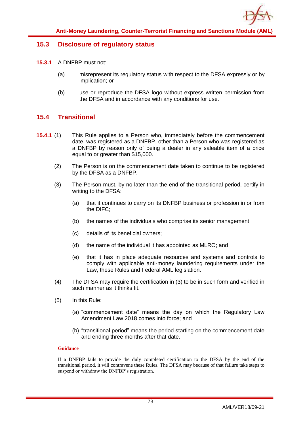### **15.3 Disclosure of regulatory status**

- **15.3.1** A DNFBP must not:
	- (a) misrepresent its regulatory status with respect to the DFSA expressly or by implication; or
	- (b) use or reproduce the DFSA logo without express written permission from the DFSA and in accordance with any conditions for use.

## **15.4 Transitional**

- **15.4.1** (1) This Rule applies to a Person who, immediately before the commencement date, was registered as a DNFBP, other than a Person who was registered as a DNFBP by reason only of being a dealer in any saleable item of a price equal to or greater than \$15,000.
	- (2) The Person is on the commencement date taken to continue to be registered by the DFSA as a DNFBP.
	- (3) The Person must, by no later than the end of the transitional period, certify in writing to the DFSA:
		- (a) that it continues to carry on its DNFBP business or profession in or from the DIFC;
		- (b) the names of the individuals who comprise its senior management;
		- (c) details of its beneficial owners;
		- (d) the name of the individual it has appointed as MLRO; and
		- (e) that it has in place adequate resources and systems and controls to comply with applicable anti-money laundering requirements under the Law, these Rules and Federal AML legislation.
	- (4) The DFSA may require the certification in (3) to be in such form and verified in such manner as it thinks fit.
	- (5) In this Rule:
		- (a) "commencement date" means the day on which the Regulatory Law Amendment Law 2018 comes into force; and
		- (b) "transitional period" means the period starting on the commencement date and ending three months after that date.

#### **Guidance**

If a DNFBP fails to provide the duly completed certification to the DFSA by the end of the transitional period, it will contravene these Rules. The DFSA may because of that failure take steps to suspend or withdraw the DNFBP's registration.